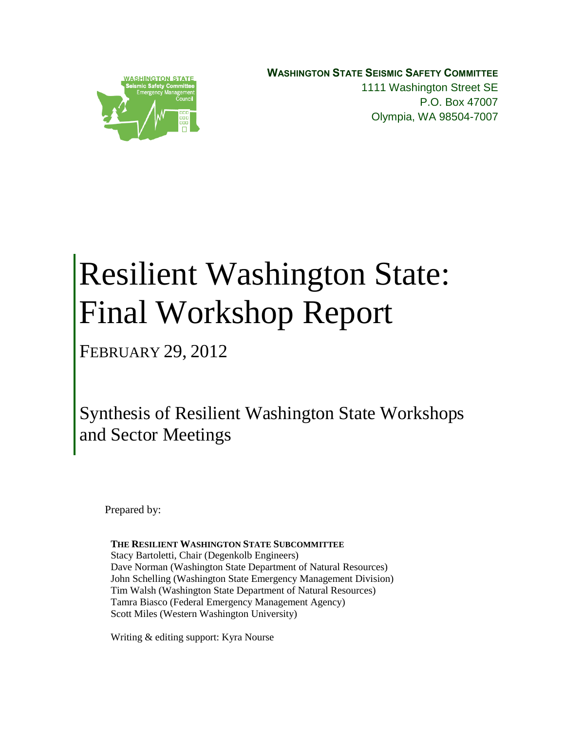**WASHINGTON STATE SEISMIC SAFETY COMMITTEE** 1111 Washington Street SE P.O. Box 47007 Olympia, WA 98504-7007



# Resilient Washington State: Final Workshop Report

FEBRUARY 29, 2012

Synthesis of Resilient Washington State Workshops and Sector Meetings

Prepared by:

**THE RESILIENT WASHINGTON STATE SUBCOMMITTEE**  Stacy Bartoletti, Chair (Degenkolb Engineers) Dave Norman (Washington State Department of Natural Resources) John Schelling (Washington State Emergency Management Division) Tim Walsh (Washington State Department of Natural Resources) Tamra Biasco (Federal Emergency Management Agency) Scott Miles (Western Washington University)

Writing & editing support: Kyra Nourse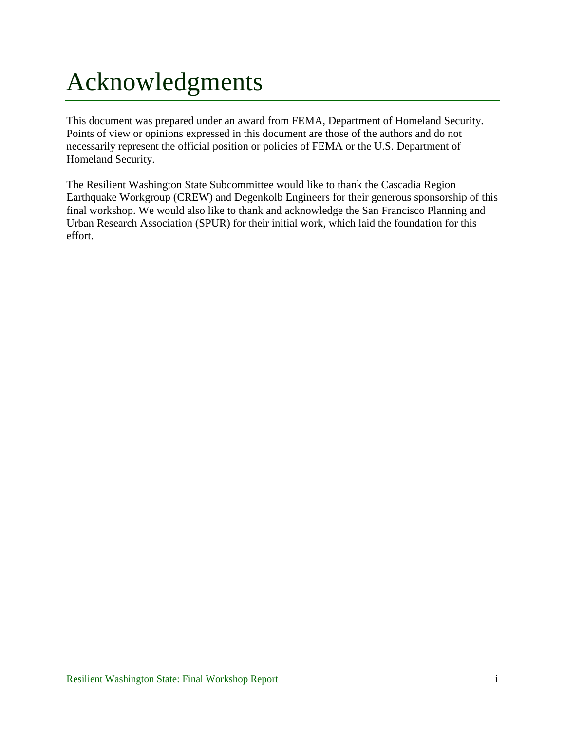# <span id="page-1-0"></span>Acknowledgments

This document was prepared under an award from FEMA, Department of Homeland Security. Points of view or opinions expressed in this document are those of the authors and do not necessarily represent the official position or policies of FEMA or the U.S. Department of Homeland Security.

The Resilient Washington State Subcommittee would like to thank the Cascadia Region Earthquake Workgroup (CREW) and Degenkolb Engineers for their generous sponsorship of this final workshop. We would also like to thank and acknowledge the San Francisco Planning and Urban Research Association (SPUR) for their initial work, which laid the foundation for this effort.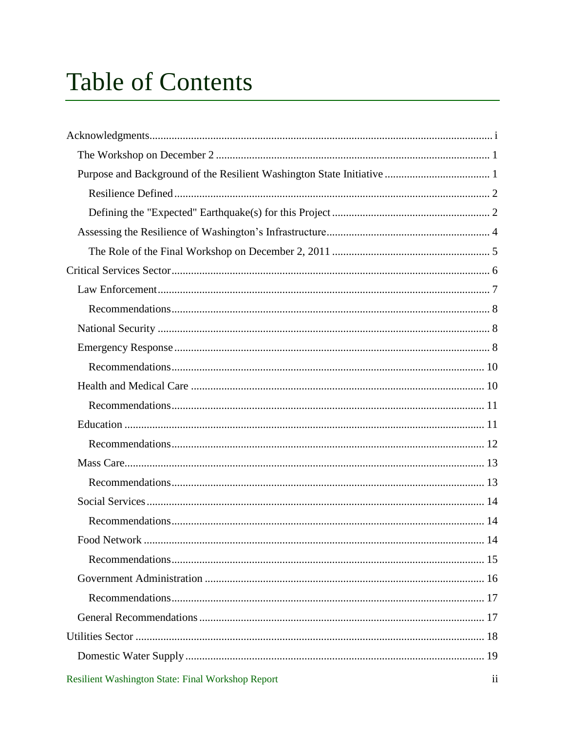# **Table of Contents**

| 14<br>Food Network                                |                         |
|---------------------------------------------------|-------------------------|
|                                                   |                         |
|                                                   |                         |
|                                                   |                         |
|                                                   |                         |
|                                                   |                         |
|                                                   |                         |
| Resilient Washington State: Final Workshop Report | $\overline{\mathbf{u}}$ |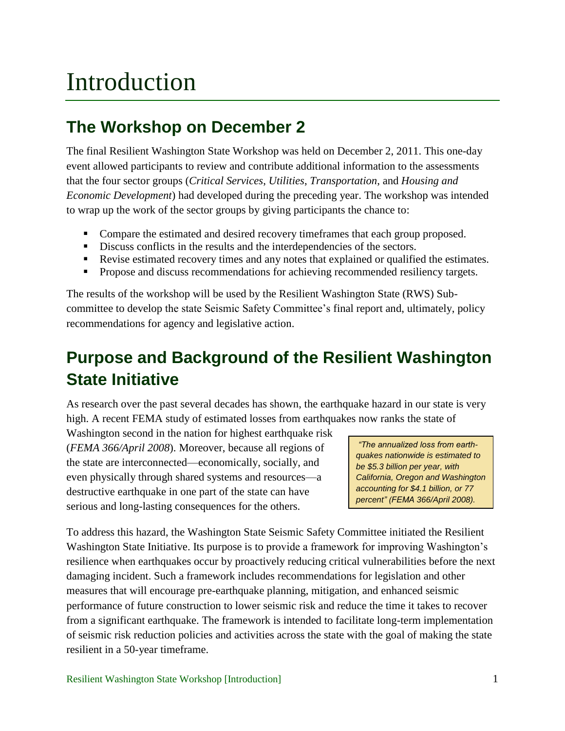# Introduction

# <span id="page-5-0"></span>**The Workshop on December 2**

The final Resilient Washington State Workshop was held on December 2, 2011. This one-day event allowed participants to review and contribute additional information to the assessments that the four sector groups (*Critical Services*, *Utilities*, *Transportation*, and *Housing and Economic Development*) had developed during the preceding year. The workshop was intended to wrap up the work of the sector groups by giving participants the chance to:

- Compare the estimated and desired recovery timeframes that each group proposed.
- Discuss conflicts in the results and the interdependencies of the sectors.
- Revise estimated recovery times and any notes that explained or qualified the estimates.
- Propose and discuss recommendations for achieving recommended resiliency targets.

The results of the workshop will be used by the Resilient Washington State (RWS) Subcommittee to develop the state Seismic Safety Committee's final report and, ultimately, policy recommendations for agency and legislative action.

# <span id="page-5-1"></span>**Purpose and Background of the Resilient Washington State Initiative**

As research over the past several decades has shown, the earthquake hazard in our state is very high. A recent FEMA study of estimated losses from earthquakes now ranks the state of

Washington second in the nation for highest earthquake risk (*FEMA 366/April 2008*). Moreover, because all regions of the state are interconnected—economically, socially, and even physically through shared systems and resources—a destructive earthquake in one part of the state can have serious and long-lasting consequences for the others.

*"The annualized loss from earthquakes nationwide is estimated to be \$5.3 billion per year, with California, Oregon and Washington accounting for \$4.1 billion, or 77 percent" (FEMA 366/April 2008).*

To address this hazard, the Washington State Seismic Safety Committee initiated the Resilient Washington State Initiative. Its purpose is to provide a framework for improving Washington's resilience when earthquakes occur by proactively reducing critical vulnerabilities before the next damaging incident. Such a framework includes recommendations for legislation and other measures that will encourage pre-earthquake planning, mitigation, and enhanced seismic performance of future construction to lower seismic risk and reduce the time it takes to recover from a significant earthquake. The framework is intended to facilitate long-term implementation of seismic risk reduction policies and activities across the state with the goal of making the state resilient in a 50-year timeframe.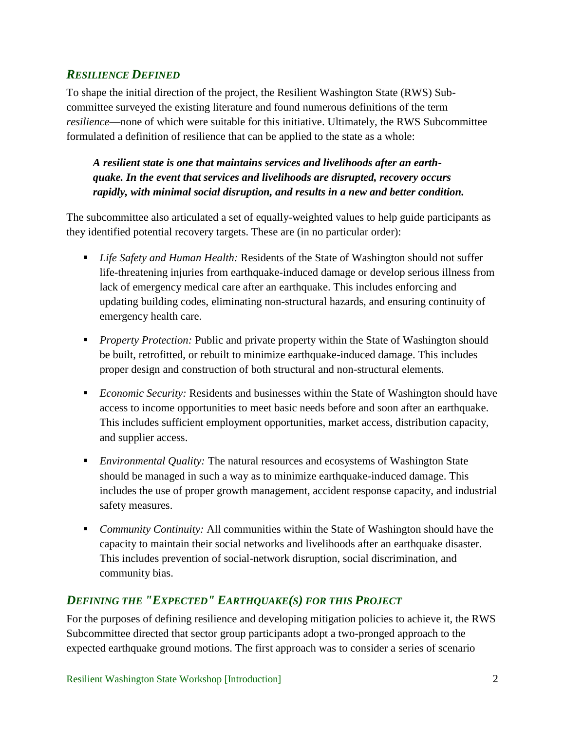### <span id="page-6-0"></span>*RESILIENCE DEFINED*

To shape the initial direction of the project, the Resilient Washington State (RWS) Subcommittee surveyed the existing literature and found numerous definitions of the term *resilience*—none of which were suitable for this initiative. Ultimately, the RWS Subcommittee formulated a definition of resilience that can be applied to the state as a whole:

*A resilient state is one that maintains services and livelihoods after an earthquake. In the event that services and livelihoods are disrupted, recovery occurs rapidly, with minimal social disruption, and results in a new and better condition.* 

The subcommittee also articulated a set of equally-weighted values to help guide participants as they identified potential recovery targets. These are (in no particular order):

- *Life Safety and Human Health:* Residents of the State of Washington should not suffer life-threatening injuries from earthquake-induced damage or develop serious illness from lack of emergency medical care after an earthquake. This includes enforcing and updating building codes, eliminating non-structural hazards, and ensuring continuity of emergency health care.
- **Property Protection:** Public and private property within the State of Washington should be built, retrofitted, or rebuilt to minimize earthquake-induced damage. This includes proper design and construction of both structural and non-structural elements.
- *Economic Security:* Residents and businesses within the State of Washington should have access to income opportunities to meet basic needs before and soon after an earthquake. This includes sufficient employment opportunities, market access, distribution capacity, and supplier access.
- *Environmental Quality:* The natural resources and ecosystems of Washington State should be managed in such a way as to minimize earthquake-induced damage. This includes the use of proper growth management, accident response capacity, and industrial safety measures.
- **Community Continuity:** All communities within the State of Washington should have the capacity to maintain their social networks and livelihoods after an earthquake disaster. This includes prevention of social-network disruption, social discrimination, and community bias.

## <span id="page-6-1"></span>*DEFINING THE "EXPECTED" EARTHQUAKE(S) FOR THIS PROJECT*

For the purposes of defining resilience and developing mitigation policies to achieve it, the RWS Subcommittee directed that sector group participants adopt a two-pronged approach to the expected earthquake ground motions. The first approach was to consider a series of scenario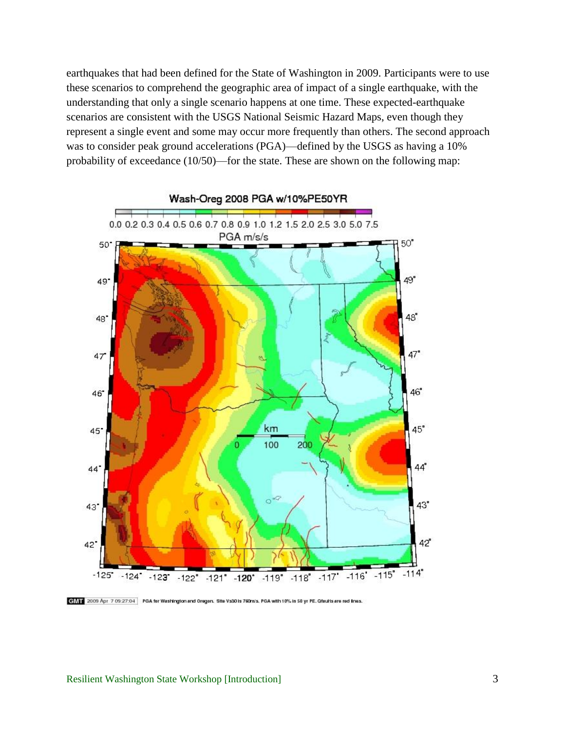earthquakes that had been defined for the State of Washington in 2009. Participants were to use these scenarios to comprehend the geographic area of impact of a single earthquake, with the understanding that only a single scenario happens at one time. These expected-earthquake scenarios are consistent with the USGS National Seismic Hazard Maps, even though they represent a single event and some may occur more frequently than others. The second approach was to consider peak ground accelerations (PGA)—defined by the USGS as having a 10% probability of exceedance (10/50)—for the state. These are shown on the following map:



CIAT 2009 Apr 7 09:27:04 PGA for Washington and Oregon. Site Vs301s 760m/s. PGA with 10% in 50 yr PE. Ofaults are red lines.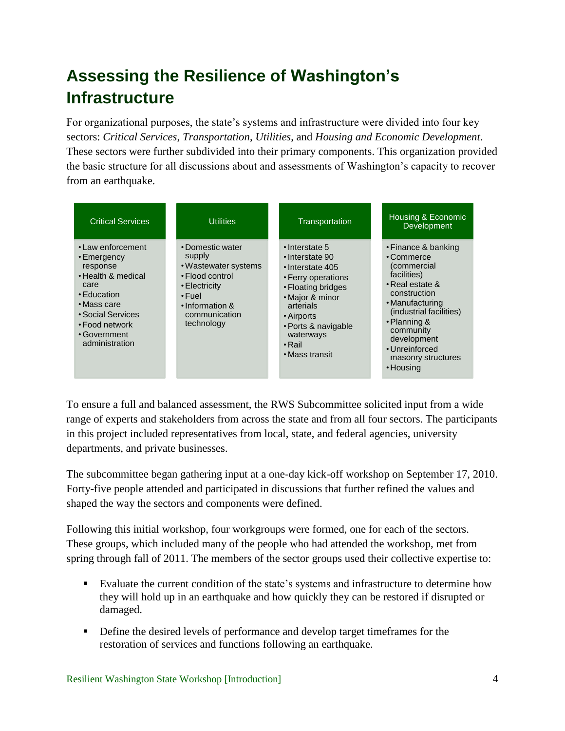# <span id="page-8-0"></span>**Assessing the Resilience of Washington's Infrastructure**

For organizational purposes, the state's systems and infrastructure were divided into four key sectors: *Critical Services*, *Transportation*, *Utilities*, and *Housing and Economic Development*. These sectors were further subdivided into their primary components. This organization provided the basic structure for all discussions about and assessments of Washington's capacity to recover from an earthquake.



To ensure a full and balanced assessment, the RWS Subcommittee solicited input from a wide range of experts and stakeholders from across the state and from all four sectors. The participants in this project included representatives from local, state, and federal agencies, university departments, and private businesses.

The subcommittee began gathering input at a one-day kick-off workshop on September 17, 2010. Forty-five people attended and participated in discussions that further refined the values and shaped the way the sectors and components were defined.

Following this initial workshop, four workgroups were formed, one for each of the sectors. These groups, which included many of the people who had attended the workshop, met from spring through fall of 2011. The members of the sector groups used their collective expertise to:

- Evaluate the current condition of the state's systems and infrastructure to determine how they will hold up in an earthquake and how quickly they can be restored if disrupted or damaged.
- Define the desired levels of performance and develop target timeframes for the restoration of services and functions following an earthquake.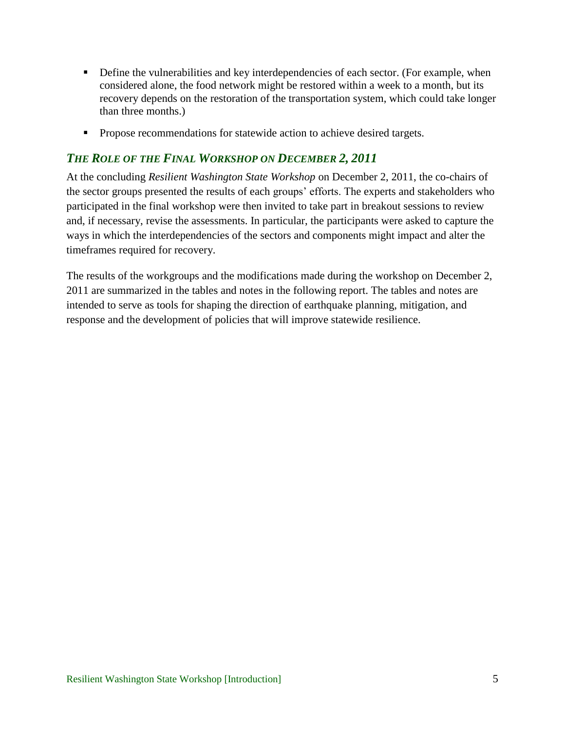- **Define the vulnerabilities and key interdependencies of each sector. (For example, when** considered alone, the food network might be restored within a week to a month, but its recovery depends on the restoration of the transportation system, which could take longer than three months.)
- **Propose recommendations for statewide action to achieve desired targets.**

### <span id="page-9-0"></span>*THE ROLE OF THE FINAL WORKSHOP ON DECEMBER 2, 2011*

At the concluding *Resilient Washington State Workshop* on December 2, 2011, the co-chairs of the sector groups presented the results of each groups' efforts. The experts and stakeholders who participated in the final workshop were then invited to take part in breakout sessions to review and, if necessary, revise the assessments. In particular, the participants were asked to capture the ways in which the interdependencies of the sectors and components might impact and alter the timeframes required for recovery.

The results of the workgroups and the modifications made during the workshop on December 2, 2011 are summarized in the tables and notes in the following report. The tables and notes are intended to serve as tools for shaping the direction of earthquake planning, mitigation, and response and the development of policies that will improve statewide resilience.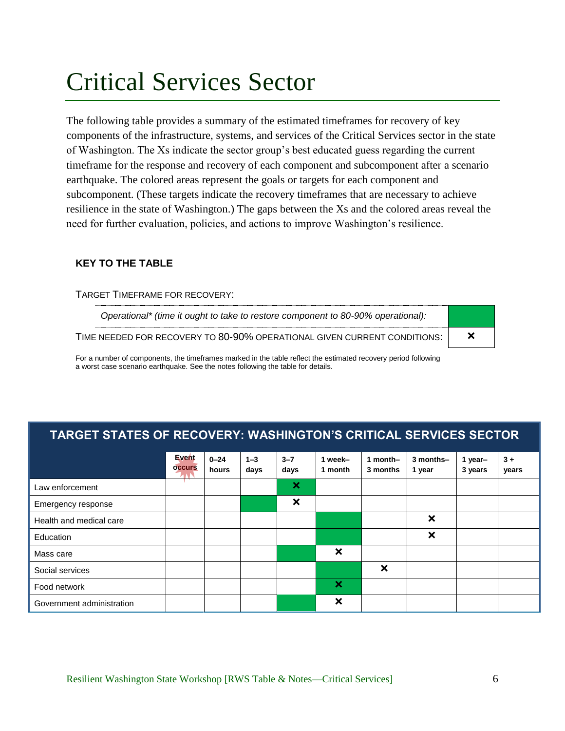# <span id="page-10-0"></span>Critical Services Sector

The following table provides a summary of the estimated timeframes for recovery of key components of the infrastructure, systems, and services of the Critical Services sector in the state of Washington. The Xs indicate the sector group's best educated guess regarding the current timeframe for the response and recovery of each component and subcomponent after a scenario earthquake. The colored areas represent the goals or targets for each component and subcomponent. (These targets indicate the recovery timeframes that are necessary to achieve resilience in the state of Washington.) The gaps between the Xs and the colored areas reveal the need for further evaluation, policies, and actions to improve Washington's resilience.

### **KEY TO THE TABLE**

#### TARGET TIMEFRAME FOR RECOVERY:

| Operational* (time it ought to take to restore component to 80-90% operational): |  |
|----------------------------------------------------------------------------------|--|
| TIME NEEDED FOR RECOVERY TO 80-90% OPERATIONAL GIVEN CURRENT CONDITIONS:         |  |

For a number of components, the timeframes marked in the table reflect the estimated recovery period following a worst case scenario earthquake. See the notes following the table for details.

## **TARGET STATES OF RECOVERY: WASHINGTON'S CRITICAL SERVICES SECTOR**

|                           | Event<br><b>OCCUIS</b> | $0 - 24$<br>hours | $1 - 3$<br>days | $3 - 7$<br>days           | 1 week-<br>1 month        | 1 month $-$<br>3 months   | 3 months-<br>1 year       | 1 year-<br>3 years | $3+$<br>years |
|---------------------------|------------------------|-------------------|-----------------|---------------------------|---------------------------|---------------------------|---------------------------|--------------------|---------------|
| Law enforcement           |                        |                   |                 | $\boldsymbol{\mathsf{x}}$ |                           |                           |                           |                    |               |
| Emergency response        |                        |                   |                 | $\boldsymbol{\mathsf{x}}$ |                           |                           |                           |                    |               |
| Health and medical care   |                        |                   |                 |                           |                           |                           | $\boldsymbol{\mathsf{x}}$ |                    |               |
| Education                 |                        |                   |                 |                           |                           |                           | $\boldsymbol{\mathsf{x}}$ |                    |               |
| Mass care                 |                        |                   |                 |                           | $\boldsymbol{\mathsf{x}}$ |                           |                           |                    |               |
| Social services           |                        |                   |                 |                           |                           | $\boldsymbol{\mathsf{x}}$ |                           |                    |               |
| Food network              |                        |                   |                 |                           | ×                         |                           |                           |                    |               |
| Government administration |                        |                   |                 |                           | $\boldsymbol{\mathsf{x}}$ |                           |                           |                    |               |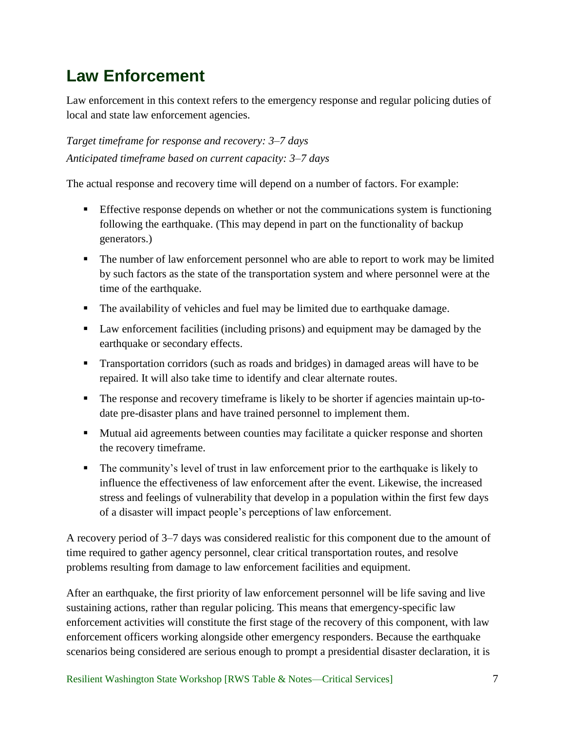# <span id="page-11-0"></span>**Law Enforcement**

Law enforcement in this context refers to the emergency response and regular policing duties of local and state law enforcement agencies.

*Target timeframe for response and recovery: 3–7 days Anticipated timeframe based on current capacity: 3–7 days*

The actual response and recovery time will depend on a number of factors. For example:

- Effective response depends on whether or not the communications system is functioning following the earthquake. (This may depend in part on the functionality of backup generators.)
- The number of law enforcement personnel who are able to report to work may be limited by such factors as the state of the transportation system and where personnel were at the time of the earthquake.
- The availability of vehicles and fuel may be limited due to earthquake damage.
- Law enforcement facilities (including prisons) and equipment may be damaged by the earthquake or secondary effects.
- **Transportation corridors (such as roads and bridges) in damaged areas will have to be** repaired. It will also take time to identify and clear alternate routes.
- The response and recovery timeframe is likely to be shorter if agencies maintain up-todate pre-disaster plans and have trained personnel to implement them.
- Mutual aid agreements between counties may facilitate a quicker response and shorten the recovery timeframe.
- The community's level of trust in law enforcement prior to the earthquake is likely to influence the effectiveness of law enforcement after the event. Likewise, the increased stress and feelings of vulnerability that develop in a population within the first few days of a disaster will impact people's perceptions of law enforcement.

A recovery period of 3–7 days was considered realistic for this component due to the amount of time required to gather agency personnel, clear critical transportation routes, and resolve problems resulting from damage to law enforcement facilities and equipment.

After an earthquake, the first priority of law enforcement personnel will be life saving and live sustaining actions, rather than regular policing. This means that emergency-specific law enforcement activities will constitute the first stage of the recovery of this component, with law enforcement officers working alongside other emergency responders. Because the earthquake scenarios being considered are serious enough to prompt a presidential disaster declaration, it is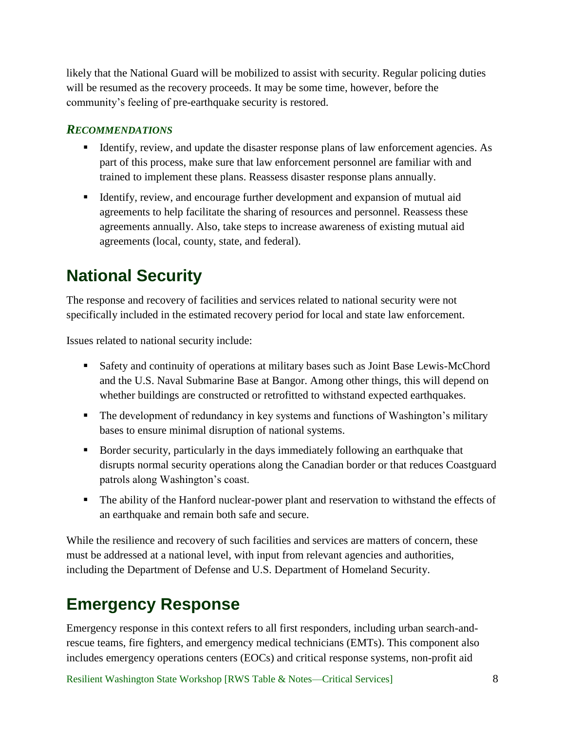likely that the National Guard will be mobilized to assist with security. Regular policing duties will be resumed as the recovery proceeds. It may be some time, however, before the community's feeling of pre-earthquake security is restored.

### <span id="page-12-0"></span>*RECOMMENDATIONS*

- Identify, review, and update the disaster response plans of law enforcement agencies. As part of this process, make sure that law enforcement personnel are familiar with and trained to implement these plans. Reassess disaster response plans annually.
- Identify, review, and encourage further development and expansion of mutual aid agreements to help facilitate the sharing of resources and personnel. Reassess these agreements annually. Also, take steps to increase awareness of existing mutual aid agreements (local, county, state, and federal).

# <span id="page-12-1"></span>**National Security**

The response and recovery of facilities and services related to national security were not specifically included in the estimated recovery period for local and state law enforcement.

Issues related to national security include:

- Safety and continuity of operations at military bases such as Joint Base Lewis-McChord and the U.S. Naval Submarine Base at Bangor. Among other things, this will depend on whether buildings are constructed or retrofitted to withstand expected earthquakes.
- The development of redundancy in key systems and functions of Washington's military bases to ensure minimal disruption of national systems.
- Border security, particularly in the days immediately following an earthquake that disrupts normal security operations along the Canadian border or that reduces Coastguard patrols along Washington's coast.
- The ability of the Hanford nuclear-power plant and reservation to withstand the effects of an earthquake and remain both safe and secure.

While the resilience and recovery of such facilities and services are matters of concern, these must be addressed at a national level, with input from relevant agencies and authorities, including the Department of Defense and U.S. Department of Homeland Security.

# <span id="page-12-2"></span>**Emergency Response**

Emergency response in this context refers to all first responders, including urban search-andrescue teams, fire fighters, and emergency medical technicians (EMTs). This component also includes emergency operations centers (EOCs) and critical response systems, non-profit aid

Resilient Washington State Workshop [RWS Table & Notes—Critical Services] 8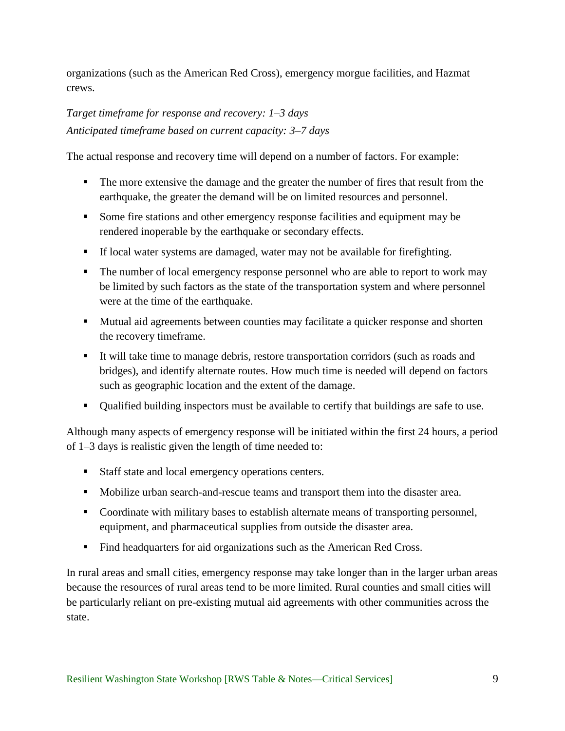organizations (such as the American Red Cross), emergency morgue facilities, and Hazmat crews.

## *Target timeframe for response and recovery: 1–3 days Anticipated timeframe based on current capacity: 3–7 days*

The actual response and recovery time will depend on a number of factors. For example:

- The more extensive the damage and the greater the number of fires that result from the earthquake, the greater the demand will be on limited resources and personnel.
- Some fire stations and other emergency response facilities and equipment may be rendered inoperable by the earthquake or secondary effects.
- If local water systems are damaged, water may not be available for firefighting.
- The number of local emergency response personnel who are able to report to work may be limited by such factors as the state of the transportation system and where personnel were at the time of the earthquake.
- **Mutual aid agreements between counties may facilitate a quicker response and shorten** the recovery timeframe.
- It will take time to manage debris, restore transportation corridors (such as roads and bridges), and identify alternate routes. How much time is needed will depend on factors such as geographic location and the extent of the damage.
- Qualified building inspectors must be available to certify that buildings are safe to use.

Although many aspects of emergency response will be initiated within the first 24 hours, a period of 1–3 days is realistic given the length of time needed to:

- Staff state and local emergency operations centers.
- Mobilize urban search-and-rescue teams and transport them into the disaster area.
- Coordinate with military bases to establish alternate means of transporting personnel, equipment, and pharmaceutical supplies from outside the disaster area.
- Find headquarters for aid organizations such as the American Red Cross.

In rural areas and small cities, emergency response may take longer than in the larger urban areas because the resources of rural areas tend to be more limited. Rural counties and small cities will be particularly reliant on pre-existing mutual aid agreements with other communities across the state.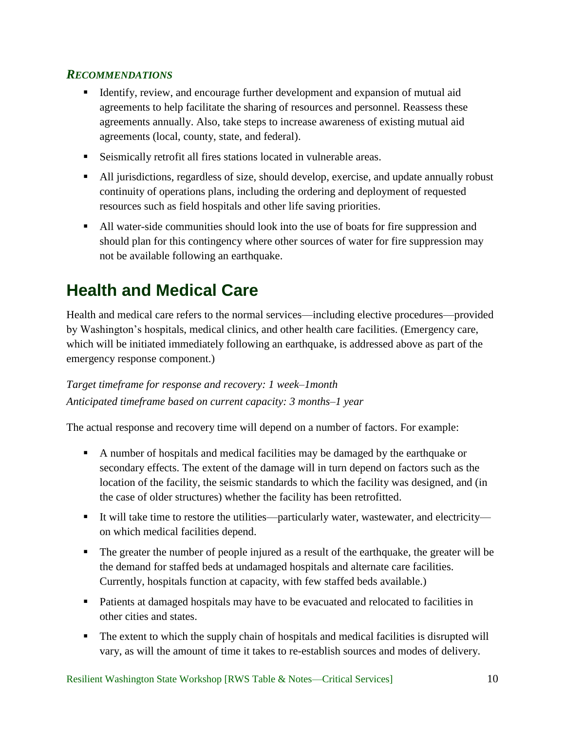- <span id="page-14-0"></span> Identify, review, and encourage further development and expansion of mutual aid agreements to help facilitate the sharing of resources and personnel. Reassess these agreements annually. Also, take steps to increase awareness of existing mutual aid agreements (local, county, state, and federal).
- Seismically retrofit all fires stations located in vulnerable areas.
- All jurisdictions, regardless of size, should develop, exercise, and update annually robust continuity of operations plans, including the ordering and deployment of requested resources such as field hospitals and other life saving priorities.
- All water-side communities should look into the use of boats for fire suppression and should plan for this contingency where other sources of water for fire suppression may not be available following an earthquake.

# <span id="page-14-1"></span>**Health and Medical Care**

Health and medical care refers to the normal services—including elective procedures—provided by Washington's hospitals, medical clinics, and other health care facilities. (Emergency care, which will be initiated immediately following an earthquake, is addressed above as part of the emergency response component.)

# *Target timeframe for response and recovery: 1 week–1month Anticipated timeframe based on current capacity: 3 months–1 year*

The actual response and recovery time will depend on a number of factors. For example:

- A number of hospitals and medical facilities may be damaged by the earthquake or secondary effects. The extent of the damage will in turn depend on factors such as the location of the facility, the seismic standards to which the facility was designed, and (in the case of older structures) whether the facility has been retrofitted.
- It will take time to restore the utilities—particularly water, wastewater, and electricity on which medical facilities depend.
- The greater the number of people injured as a result of the earthquake, the greater will be the demand for staffed beds at undamaged hospitals and alternate care facilities. Currently, hospitals function at capacity, with few staffed beds available.)
- Patients at damaged hospitals may have to be evacuated and relocated to facilities in other cities and states.
- The extent to which the supply chain of hospitals and medical facilities is disrupted will vary, as will the amount of time it takes to re-establish sources and modes of delivery.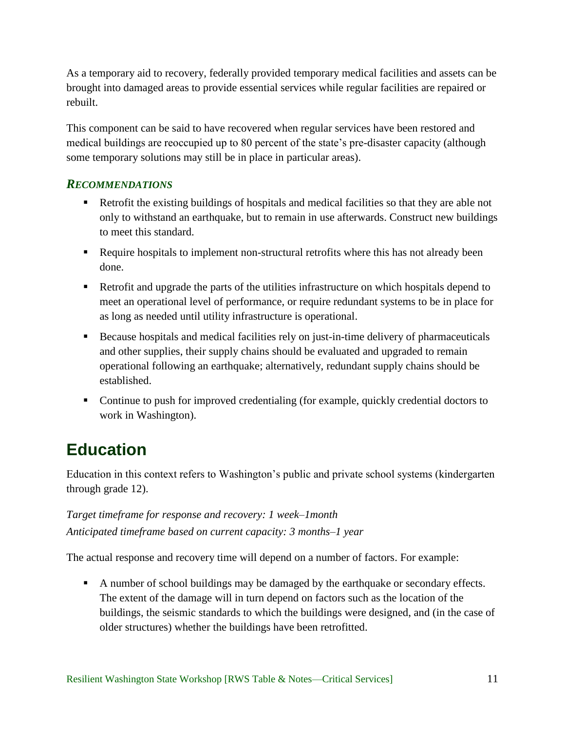As a temporary aid to recovery, federally provided temporary medical facilities and assets can be brought into damaged areas to provide essential services while regular facilities are repaired or rebuilt.

This component can be said to have recovered when regular services have been restored and medical buildings are reoccupied up to 80 percent of the state's pre-disaster capacity (although some temporary solutions may still be in place in particular areas).

### <span id="page-15-0"></span>*RECOMMENDATIONS*

- Retrofit the existing buildings of hospitals and medical facilities so that they are able not only to withstand an earthquake, but to remain in use afterwards. Construct new buildings to meet this standard.
- Require hospitals to implement non-structural retrofits where this has not already been done.
- Retrofit and upgrade the parts of the utilities infrastructure on which hospitals depend to meet an operational level of performance, or require redundant systems to be in place for as long as needed until utility infrastructure is operational.
- Because hospitals and medical facilities rely on just-in-time delivery of pharmaceuticals and other supplies, their supply chains should be evaluated and upgraded to remain operational following an earthquake; alternatively, redundant supply chains should be established.
- Continue to push for improved credentialing (for example, quickly credential doctors to work in Washington).

# <span id="page-15-1"></span>**Education**

Education in this context refers to Washington's public and private school systems (kindergarten through grade 12).

# *Target timeframe for response and recovery: 1 week–1month Anticipated timeframe based on current capacity: 3 months–1 year*

The actual response and recovery time will depend on a number of factors. For example:

A number of school buildings may be damaged by the earthquake or secondary effects. The extent of the damage will in turn depend on factors such as the location of the buildings, the seismic standards to which the buildings were designed, and (in the case of older structures) whether the buildings have been retrofitted.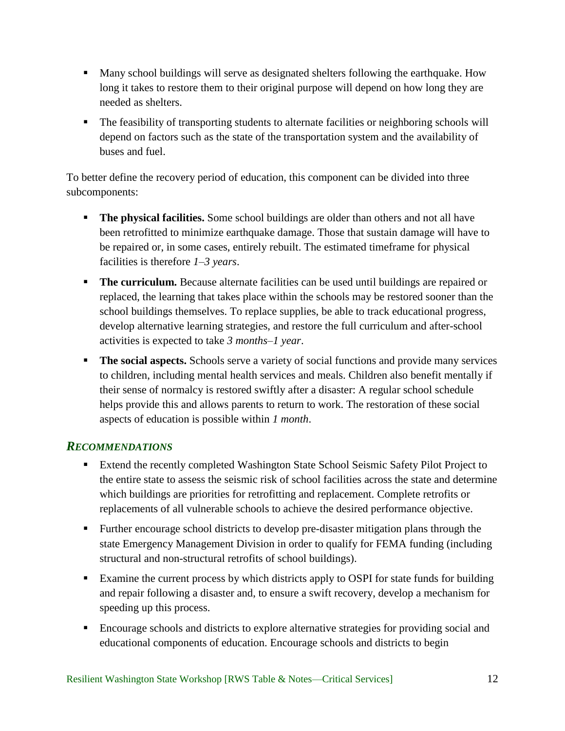- Many school buildings will serve as designated shelters following the earthquake. How long it takes to restore them to their original purpose will depend on how long they are needed as shelters.
- The feasibility of transporting students to alternate facilities or neighboring schools will depend on factors such as the state of the transportation system and the availability of buses and fuel.

To better define the recovery period of education, this component can be divided into three subcomponents:

- **The physical facilities.** Some school buildings are older than others and not all have been retrofitted to minimize earthquake damage. Those that sustain damage will have to be repaired or, in some cases, entirely rebuilt. The estimated timeframe for physical facilities is therefore *1–3 years*.
- **The curriculum.** Because alternate facilities can be used until buildings are repaired or replaced, the learning that takes place within the schools may be restored sooner than the school buildings themselves. To replace supplies, be able to track educational progress, develop alternative learning strategies, and restore the full curriculum and after-school activities is expected to take *3 months–1 year*.
- **The social aspects.** Schools serve a variety of social functions and provide many services to children, including mental health services and meals. Children also benefit mentally if their sense of normalcy is restored swiftly after a disaster: A regular school schedule helps provide this and allows parents to return to work. The restoration of these social aspects of education is possible within *1 month*.

### <span id="page-16-0"></span>*RECOMMENDATIONS*

- **Extend the recently completed Washington State School Seismic Safety Pilot Project to** the entire state to assess the seismic risk of school facilities across the state and determine which buildings are priorities for retrofitting and replacement. Complete retrofits or replacements of all vulnerable schools to achieve the desired performance objective.
- Further encourage school districts to develop pre-disaster mitigation plans through the state Emergency Management Division in order to qualify for FEMA funding (including structural and non-structural retrofits of school buildings).
- **Examine the current process by which districts apply to OSPI for state funds for building** and repair following a disaster and, to ensure a swift recovery, develop a mechanism for speeding up this process.
- Encourage schools and districts to explore alternative strategies for providing social and educational components of education. Encourage schools and districts to begin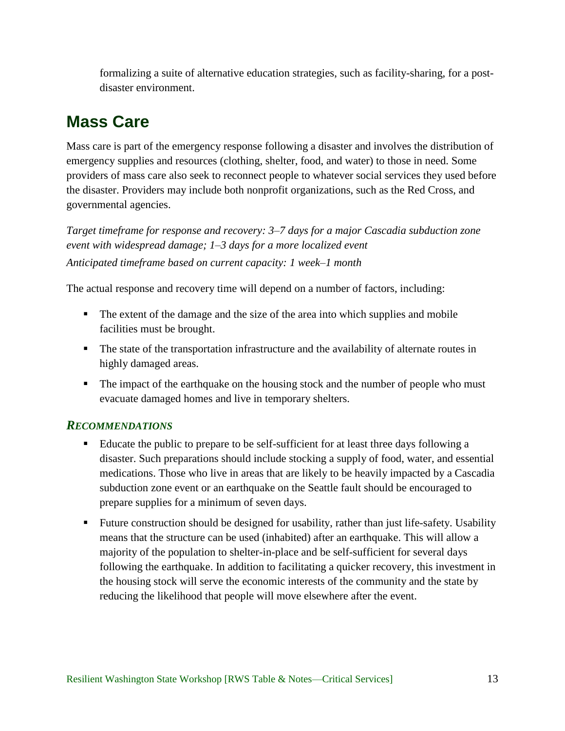formalizing a suite of alternative education strategies, such as facility-sharing, for a postdisaster environment.

# <span id="page-17-0"></span>**Mass Care**

Mass care is part of the emergency response following a disaster and involves the distribution of emergency supplies and resources (clothing, shelter, food, and water) to those in need. Some providers of mass care also seek to reconnect people to whatever social services they used before the disaster. Providers may include both nonprofit organizations, such as the Red Cross, and governmental agencies.

*Target timeframe for response and recovery: 3–7 days for a major Cascadia subduction zone event with widespread damage; 1–3 days for a more localized event Anticipated timeframe based on current capacity: 1 week–1 month*

The actual response and recovery time will depend on a number of factors, including:

- The extent of the damage and the size of the area into which supplies and mobile facilities must be brought.
- The state of the transportation infrastructure and the availability of alternate routes in highly damaged areas.
- The impact of the earthquake on the housing stock and the number of people who must evacuate damaged homes and live in temporary shelters.

## <span id="page-17-1"></span>*RECOMMENDATIONS*

- Educate the public to prepare to be self-sufficient for at least three days following a disaster. Such preparations should include stocking a supply of food, water, and essential medications. Those who live in areas that are likely to be heavily impacted by a Cascadia subduction zone event or an earthquake on the Seattle fault should be encouraged to prepare supplies for a minimum of seven days.
- Future construction should be designed for usability, rather than just life-safety. Usability means that the structure can be used (inhabited) after an earthquake. This will allow a majority of the population to shelter-in-place and be self-sufficient for several days following the earthquake. In addition to facilitating a quicker recovery, this investment in the housing stock will serve the economic interests of the community and the state by reducing the likelihood that people will move elsewhere after the event.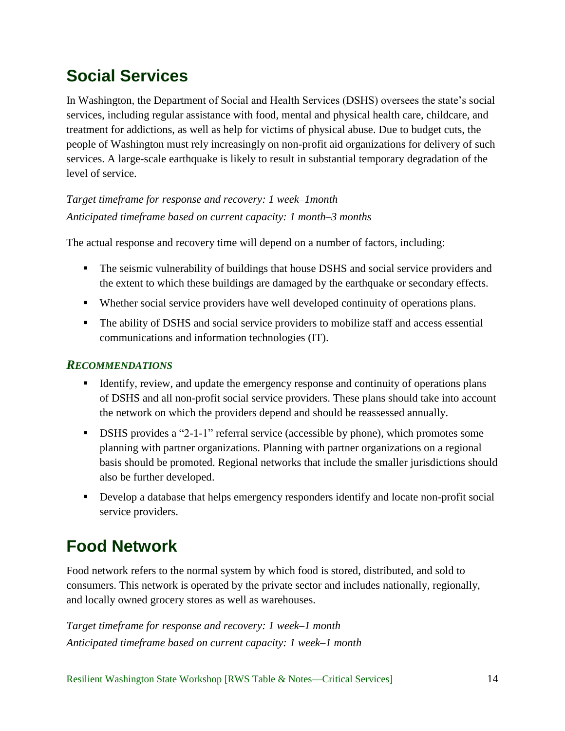# <span id="page-18-0"></span>**Social Services**

In Washington, the Department of Social and Health Services (DSHS) oversees the state's social services, including regular assistance with food, mental and physical health care, childcare, and treatment for addictions, as well as help for victims of physical abuse. Due to budget cuts, the people of Washington must rely increasingly on non-profit aid organizations for delivery of such services. A large-scale earthquake is likely to result in substantial temporary degradation of the level of service.

*Target timeframe for response and recovery: 1 week–1month Anticipated timeframe based on current capacity: 1 month–3 months*

The actual response and recovery time will depend on a number of factors, including:

- The seismic vulnerability of buildings that house DSHS and social service providers and the extent to which these buildings are damaged by the earthquake or secondary effects.
- Whether social service providers have well developed continuity of operations plans.
- The ability of DSHS and social service providers to mobilize staff and access essential communications and information technologies (IT).

### <span id="page-18-1"></span>*RECOMMENDATIONS*

- Identify, review, and update the emergency response and continuity of operations plans of DSHS and all non-profit social service providers. These plans should take into account the network on which the providers depend and should be reassessed annually.
- DSHS provides a "2-1-1" referral service (accessible by phone), which promotes some planning with partner organizations. Planning with partner organizations on a regional basis should be promoted. Regional networks that include the smaller jurisdictions should also be further developed.
- Develop a database that helps emergency responders identify and locate non-profit social service providers.

# <span id="page-18-2"></span>**Food Network**

Food network refers to the normal system by which food is stored, distributed, and sold to consumers. This network is operated by the private sector and includes nationally, regionally, and locally owned grocery stores as well as warehouses.

*Target timeframe for response and recovery: 1 week–1 month Anticipated timeframe based on current capacity: 1 week–1 month*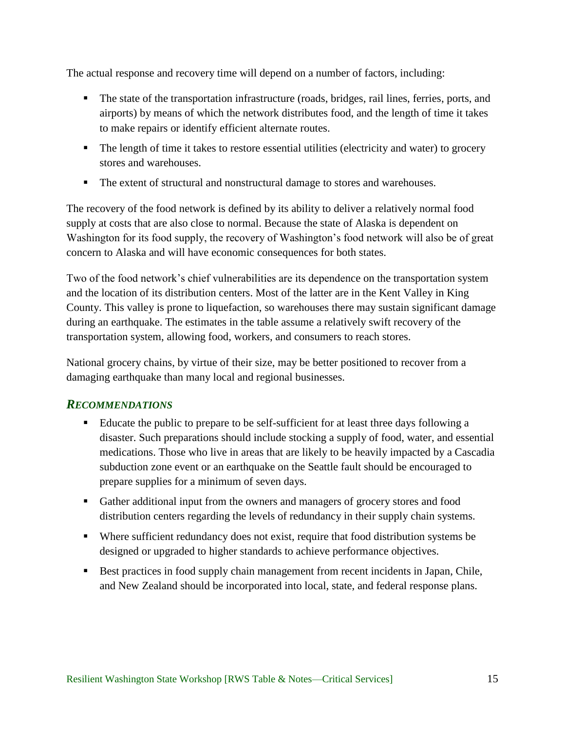The actual response and recovery time will depend on a number of factors, including:

- The state of the transportation infrastructure (roads, bridges, rail lines, ferries, ports, and airports) by means of which the network distributes food, and the length of time it takes to make repairs or identify efficient alternate routes.
- The length of time it takes to restore essential utilities (electricity and water) to grocery stores and warehouses.
- The extent of structural and nonstructural damage to stores and warehouses.

The recovery of the food network is defined by its ability to deliver a relatively normal food supply at costs that are also close to normal. Because the state of Alaska is dependent on Washington for its food supply, the recovery of Washington's food network will also be of great concern to Alaska and will have economic consequences for both states.

Two of the food network's chief vulnerabilities are its dependence on the transportation system and the location of its distribution centers. Most of the latter are in the Kent Valley in King County. This valley is prone to liquefaction, so warehouses there may sustain significant damage during an earthquake. The estimates in the table assume a relatively swift recovery of the transportation system, allowing food, workers, and consumers to reach stores.

National grocery chains, by virtue of their size, may be better positioned to recover from a damaging earthquake than many local and regional businesses.

### <span id="page-19-0"></span>*RECOMMENDATIONS*

- Educate the public to prepare to be self-sufficient for at least three days following a disaster. Such preparations should include stocking a supply of food, water, and essential medications. Those who live in areas that are likely to be heavily impacted by a Cascadia subduction zone event or an earthquake on the Seattle fault should be encouraged to prepare supplies for a minimum of seven days.
- Gather additional input from the owners and managers of grocery stores and food distribution centers regarding the levels of redundancy in their supply chain systems.
- Where sufficient redundancy does not exist, require that food distribution systems be designed or upgraded to higher standards to achieve performance objectives.
- Best practices in food supply chain management from recent incidents in Japan, Chile, and New Zealand should be incorporated into local, state, and federal response plans.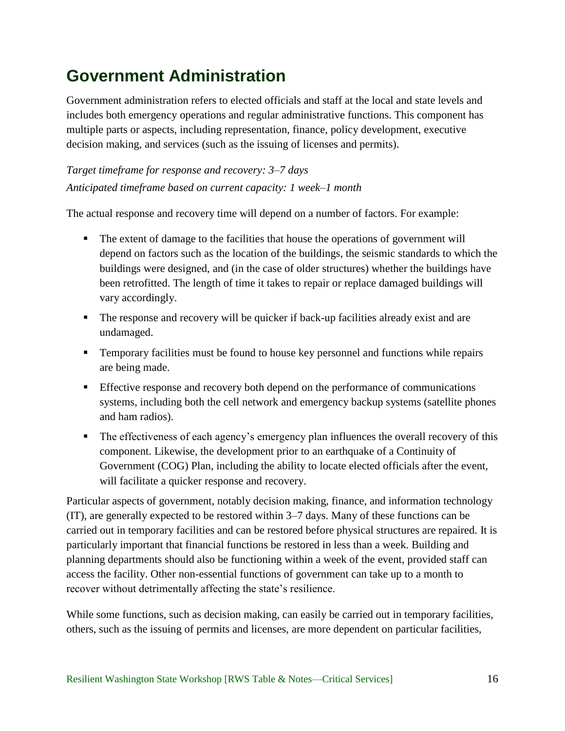# <span id="page-20-0"></span>**Government Administration**

Government administration refers to elected officials and staff at the local and state levels and includes both emergency operations and regular administrative functions. This component has multiple parts or aspects, including representation, finance, policy development, executive decision making, and services (such as the issuing of licenses and permits).

*Target timeframe for response and recovery: 3–7 days Anticipated timeframe based on current capacity: 1 week–1 month*

The actual response and recovery time will depend on a number of factors. For example:

- The extent of damage to the facilities that house the operations of government will depend on factors such as the location of the buildings, the seismic standards to which the buildings were designed, and (in the case of older structures) whether the buildings have been retrofitted. The length of time it takes to repair or replace damaged buildings will vary accordingly.
- The response and recovery will be quicker if back-up facilities already exist and are undamaged.
- Temporary facilities must be found to house key personnel and functions while repairs are being made.
- Effective response and recovery both depend on the performance of communications systems, including both the cell network and emergency backup systems (satellite phones and ham radios).
- The effectiveness of each agency's emergency plan influences the overall recovery of this component. Likewise, the development prior to an earthquake of a Continuity of Government (COG) Plan, including the ability to locate elected officials after the event, will facilitate a quicker response and recovery.

Particular aspects of government, notably decision making, finance, and information technology (IT), are generally expected to be restored within 3–7 days. Many of these functions can be carried out in temporary facilities and can be restored before physical structures are repaired. It is particularly important that financial functions be restored in less than a week. Building and planning departments should also be functioning within a week of the event, provided staff can access the facility. Other non-essential functions of government can take up to a month to recover without detrimentally affecting the state's resilience.

While some functions, such as decision making, can easily be carried out in temporary facilities, others, such as the issuing of permits and licenses, are more dependent on particular facilities,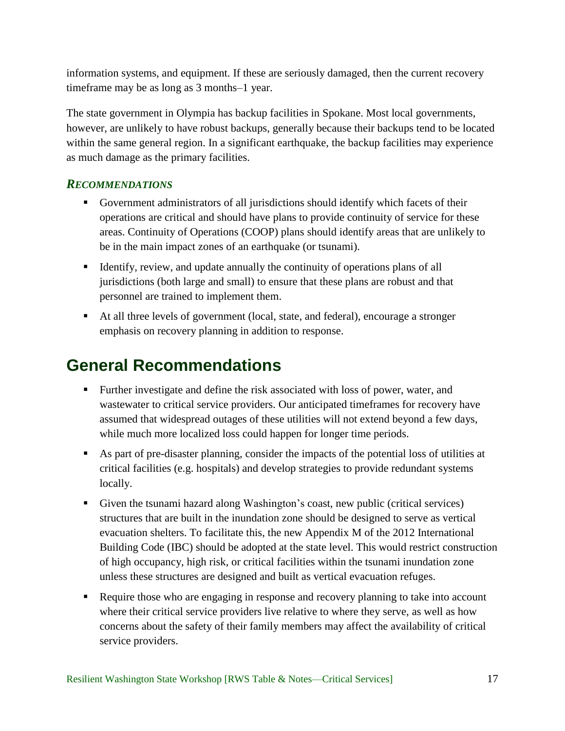information systems, and equipment. If these are seriously damaged, then the current recovery timeframe may be as long as 3 months–1 year.

The state government in Olympia has backup facilities in Spokane. Most local governments, however, are unlikely to have robust backups, generally because their backups tend to be located within the same general region. In a significant earthquake, the backup facilities may experience as much damage as the primary facilities.

### <span id="page-21-0"></span>*RECOMMENDATIONS*

- Government administrators of all jurisdictions should identify which facets of their operations are critical and should have plans to provide continuity of service for these areas. Continuity of Operations (COOP) plans should identify areas that are unlikely to be in the main impact zones of an earthquake (or tsunami).
- Identify, review, and update annually the continuity of operations plans of all jurisdictions (both large and small) to ensure that these plans are robust and that personnel are trained to implement them.
- At all three levels of government (local, state, and federal), encourage a stronger emphasis on recovery planning in addition to response.

# <span id="page-21-1"></span>**General Recommendations**

- Further investigate and define the risk associated with loss of power, water, and wastewater to critical service providers. Our anticipated timeframes for recovery have assumed that widespread outages of these utilities will not extend beyond a few days, while much more localized loss could happen for longer time periods.
- As part of pre-disaster planning, consider the impacts of the potential loss of utilities at critical facilities (e.g. hospitals) and develop strategies to provide redundant systems locally.
- Given the tsunami hazard along Washington's coast, new public (critical services) structures that are built in the inundation zone should be designed to serve as vertical evacuation shelters. To facilitate this, the new Appendix M of the 2012 International Building Code (IBC) should be adopted at the state level. This would restrict construction of high occupancy, high risk, or critical facilities within the tsunami inundation zone unless these structures are designed and built as vertical evacuation refuges.
- Require those who are engaging in response and recovery planning to take into account where their critical service providers live relative to where they serve, as well as how concerns about the safety of their family members may affect the availability of critical service providers.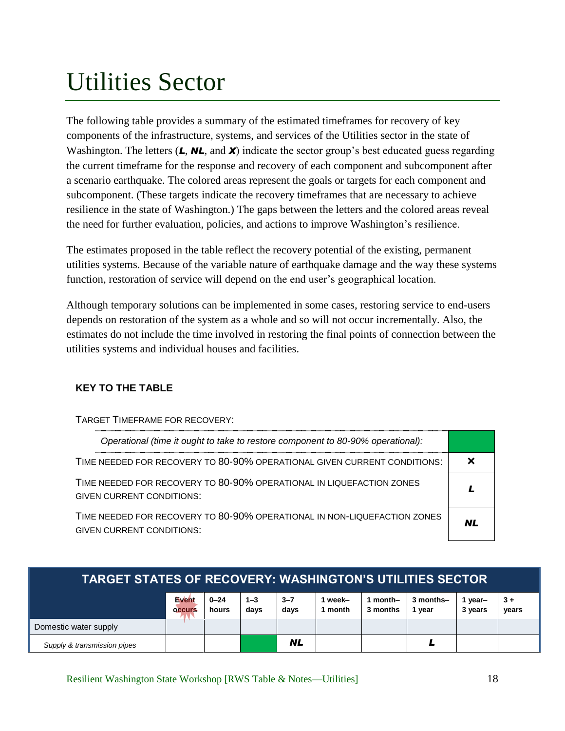# <span id="page-22-0"></span>Utilities Sector

The following table provides a summary of the estimated timeframes for recovery of key components of the infrastructure, systems, and services of the Utilities sector in the state of Washington. The letters (**L**, **NL**, and **X**) indicate the sector group's best educated guess regarding the current timeframe for the response and recovery of each component and subcomponent after a scenario earthquake. The colored areas represent the goals or targets for each component and subcomponent. (These targets indicate the recovery timeframes that are necessary to achieve resilience in the state of Washington.) The gaps between the letters and the colored areas reveal the need for further evaluation, policies, and actions to improve Washington's resilience.

The estimates proposed in the table reflect the recovery potential of the existing, permanent utilities systems. Because of the variable nature of earthquake damage and the way these systems function, restoration of service will depend on the end user's geographical location.

Although temporary solutions can be implemented in some cases, restoring service to end-users depends on restoration of the system as a whole and so will not occur incrementally. Also, the estimates do not include the time involved in restoring the final points of connection between the utilities systems and individual houses and facilities.

### **KEY TO THE TABLE**

| TARGET TIMEFRAME FOR RECOVERY:                                                                               |    |
|--------------------------------------------------------------------------------------------------------------|----|
| Operational (time it ought to take to restore component to 80-90% operational):                              |    |
| TIME NEEDED FOR RECOVERY TO 80-90% OPERATIONAL GIVEN CURRENT CONDITIONS:                                     |    |
| TIME NEEDED FOR RECOVERY TO 80-90% OPERATIONAL IN LIQUEFACTION ZONES<br>GIVEN CURRENT CONDITIONS:            |    |
| TIME NEEDED FOR RECOVERY TO 80-90% OPERATIONAL IN NON-LIQUEFACTION ZONES<br><b>GIVEN CURRENT CONDITIONS:</b> | NL |

| <b>TARGET STATES OF RECOVERY: WASHINGTON'S UTILITIES SECTOR</b> |                 |                   |                 |                 |                    |                    |                     |                  |               |
|-----------------------------------------------------------------|-----------------|-------------------|-----------------|-----------------|--------------------|--------------------|---------------------|------------------|---------------|
|                                                                 | Event<br>occurs | $0 - 24$<br>hours | $1 - 3$<br>days | $3 - 7$<br>days | l week–<br>1 month | month-<br>3 months | 3 months-<br>1 vear | year-<br>3 years | $3+$<br>years |
| Domestic water supply                                           |                 |                   |                 |                 |                    |                    |                     |                  |               |
| Supply & transmission pipes                                     |                 |                   |                 | <b>NL</b>       |                    |                    |                     |                  |               |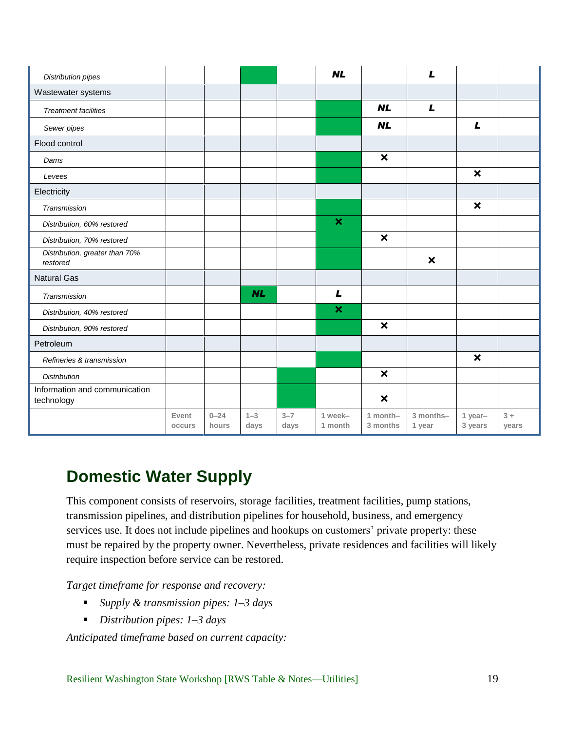| <b>Distribution pipes</b>                   |                 |                   |                 |                 | <b>NL</b>                 |                           | L                         |                           |               |
|---------------------------------------------|-----------------|-------------------|-----------------|-----------------|---------------------------|---------------------------|---------------------------|---------------------------|---------------|
| Wastewater systems                          |                 |                   |                 |                 |                           |                           |                           |                           |               |
| <b>Treatment facilities</b>                 |                 |                   |                 |                 |                           | <b>NL</b>                 | $\mathbf{L}$              |                           |               |
| Sewer pipes                                 |                 |                   |                 |                 |                           | <b>NL</b>                 |                           | $\mathbf{L}$              |               |
| Flood control                               |                 |                   |                 |                 |                           |                           |                           |                           |               |
| Dams                                        |                 |                   |                 |                 |                           | $\boldsymbol{\mathsf{x}}$ |                           |                           |               |
| Levees                                      |                 |                   |                 |                 |                           |                           |                           | $\boldsymbol{\mathsf{x}}$ |               |
| Electricity                                 |                 |                   |                 |                 |                           |                           |                           |                           |               |
| Transmission                                |                 |                   |                 |                 |                           |                           |                           | $\boldsymbol{\mathsf{x}}$ |               |
| Distribution, 60% restored                  |                 |                   |                 |                 | $\boldsymbol{\mathsf{x}}$ |                           |                           |                           |               |
| Distribution, 70% restored                  |                 |                   |                 |                 |                           | $\boldsymbol{\mathsf{x}}$ |                           |                           |               |
| Distribution, greater than 70%<br>restored  |                 |                   |                 |                 |                           |                           | $\boldsymbol{\mathsf{x}}$ |                           |               |
| <b>Natural Gas</b>                          |                 |                   |                 |                 |                           |                           |                           |                           |               |
| Transmission                                |                 |                   | <b>NL</b>       |                 | L                         |                           |                           |                           |               |
| Distribution, 40% restored                  |                 |                   |                 |                 | $\boldsymbol{\mathsf{x}}$ |                           |                           |                           |               |
| Distribution, 90% restored                  |                 |                   |                 |                 |                           | $\boldsymbol{\mathsf{x}}$ |                           |                           |               |
| Petroleum                                   |                 |                   |                 |                 |                           |                           |                           |                           |               |
| Refineries & transmission                   |                 |                   |                 |                 |                           |                           |                           | $\boldsymbol{\mathsf{x}}$ |               |
| <b>Distribution</b>                         |                 |                   |                 |                 |                           | $\boldsymbol{\mathsf{x}}$ |                           |                           |               |
| Information and communication<br>technology |                 |                   |                 |                 |                           | $\boldsymbol{\mathsf{x}}$ |                           |                           |               |
|                                             | Event<br>occurs | $0 - 24$<br>hours | $1 - 3$<br>days | $3 - 7$<br>days | 1 week-<br>1 month        | 1 month-<br>3 months      | 3 months-<br>1 year       | 1 year-<br>3 years        | $3+$<br>years |

# <span id="page-23-0"></span>**Domestic Water Supply**

This component consists of reservoirs, storage facilities, treatment facilities, pump stations, transmission pipelines, and distribution pipelines for household, business, and emergency services use. It does not include pipelines and hookups on customers' private property: these must be repaired by the property owner. Nevertheless, private residences and facilities will likely require inspection before service can be restored.

*Target timeframe for response and recovery:* 

- *Supply & transmission pipes: 1–3 days*
- *Distribution pipes: 1–3 days*

*Anticipated timeframe based on current capacity:*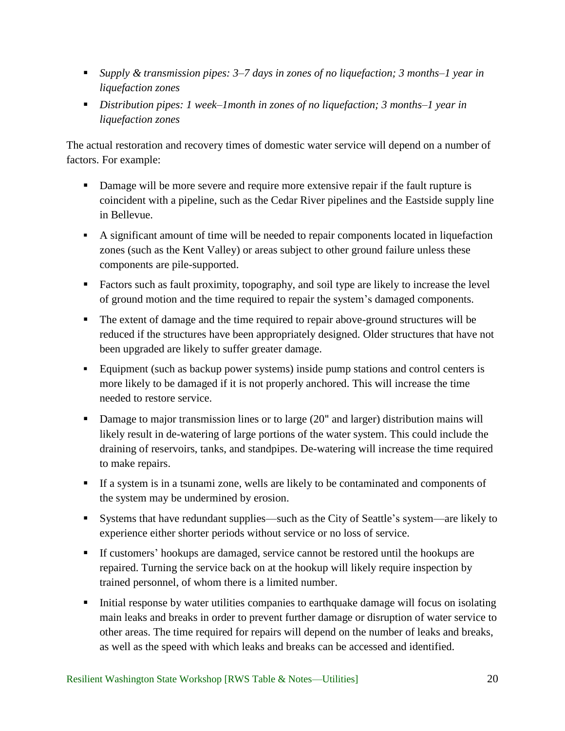- *Supply & transmission pipes: 3–7 days in zones of no liquefaction; 3 months–1 year in liquefaction zones*
- *Distribution pipes: 1 week–1month in zones of no liquefaction; 3 months–1 year in liquefaction zones*

The actual restoration and recovery times of domestic water service will depend on a number of factors. For example:

- **Damage will be more severe and require more extensive repair if the fault rupture is** coincident with a pipeline, such as the Cedar River pipelines and the Eastside supply line in Bellevue.
- A significant amount of time will be needed to repair components located in liquefaction zones (such as the Kent Valley) or areas subject to other ground failure unless these components are pile-supported.
- Factors such as fault proximity, topography, and soil type are likely to increase the level of ground motion and the time required to repair the system's damaged components.
- The extent of damage and the time required to repair above-ground structures will be reduced if the structures have been appropriately designed. Older structures that have not been upgraded are likely to suffer greater damage.
- Equipment (such as backup power systems) inside pump stations and control centers is more likely to be damaged if it is not properly anchored. This will increase the time needed to restore service.
- Damage to major transmission lines or to large (20" and larger) distribution mains will likely result in de-watering of large portions of the water system. This could include the draining of reservoirs, tanks, and standpipes. De-watering will increase the time required to make repairs.
- If a system is in a tsunami zone, wells are likely to be contaminated and components of the system may be undermined by erosion.
- Systems that have redundant supplies—such as the City of Seattle's system—are likely to experience either shorter periods without service or no loss of service.
- If customers' hookups are damaged, service cannot be restored until the hookups are repaired. Turning the service back on at the hookup will likely require inspection by trained personnel, of whom there is a limited number.
- Initial response by water utilities companies to earthquake damage will focus on isolating main leaks and breaks in order to prevent further damage or disruption of water service to other areas. The time required for repairs will depend on the number of leaks and breaks, as well as the speed with which leaks and breaks can be accessed and identified.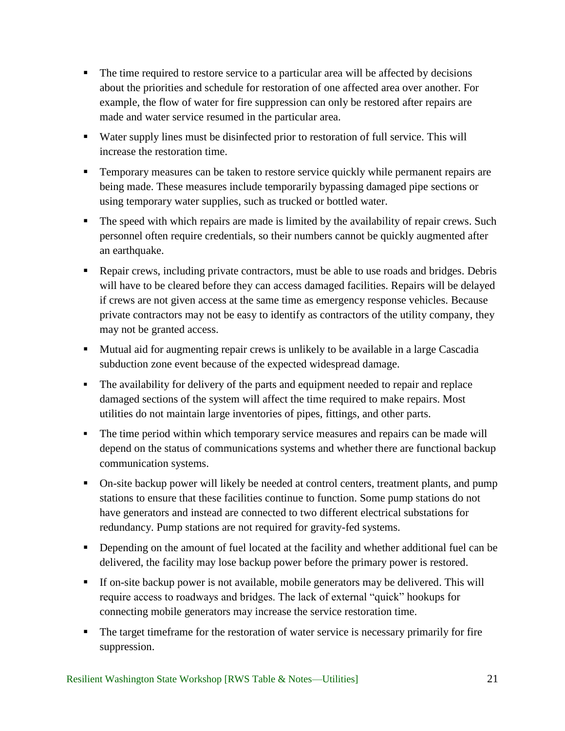- The time required to restore service to a particular area will be affected by decisions about the priorities and schedule for restoration of one affected area over another. For example, the flow of water for fire suppression can only be restored after repairs are made and water service resumed in the particular area.
- Water supply lines must be disinfected prior to restoration of full service. This will increase the restoration time.
- **Temporary measures can be taken to restore service quickly while permanent repairs are** being made. These measures include temporarily bypassing damaged pipe sections or using temporary water supplies, such as trucked or bottled water.
- The speed with which repairs are made is limited by the availability of repair crews. Such personnel often require credentials, so their numbers cannot be quickly augmented after an earthquake.
- Repair crews, including private contractors, must be able to use roads and bridges. Debris will have to be cleared before they can access damaged facilities. Repairs will be delayed if crews are not given access at the same time as emergency response vehicles. Because private contractors may not be easy to identify as contractors of the utility company, they may not be granted access.
- **Mutual aid for augmenting repair crews is unlikely to be available in a large Cascadia** subduction zone event because of the expected widespread damage.
- The availability for delivery of the parts and equipment needed to repair and replace damaged sections of the system will affect the time required to make repairs. Most utilities do not maintain large inventories of pipes, fittings, and other parts.
- The time period within which temporary service measures and repairs can be made will depend on the status of communications systems and whether there are functional backup communication systems.
- On-site backup power will likely be needed at control centers, treatment plants, and pump stations to ensure that these facilities continue to function. Some pump stations do not have generators and instead are connected to two different electrical substations for redundancy. Pump stations are not required for gravity-fed systems.
- Depending on the amount of fuel located at the facility and whether additional fuel can be delivered, the facility may lose backup power before the primary power is restored.
- If on-site backup power is not available, mobile generators may be delivered. This will require access to roadways and bridges. The lack of external "quick" hookups for connecting mobile generators may increase the service restoration time.
- The target timeframe for the restoration of water service is necessary primarily for fire suppression.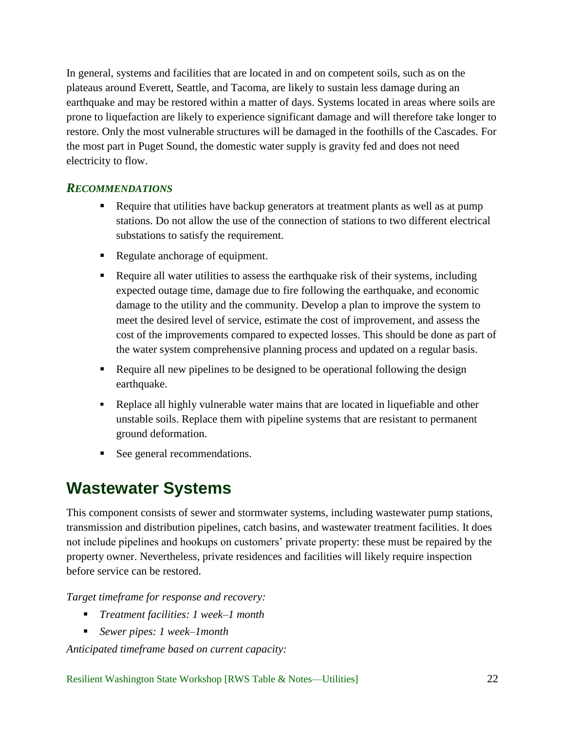In general, systems and facilities that are located in and on competent soils, such as on the plateaus around Everett, Seattle, and Tacoma, are likely to sustain less damage during an earthquake and may be restored within a matter of days. Systems located in areas where soils are prone to liquefaction are likely to experience significant damage and will therefore take longer to restore. Only the most vulnerable structures will be damaged in the foothills of the Cascades. For the most part in Puget Sound, the domestic water supply is gravity fed and does not need electricity to flow.

### <span id="page-26-0"></span>*RECOMMENDATIONS*

- Require that utilities have backup generators at treatment plants as well as at pump stations. Do not allow the use of the connection of stations to two different electrical substations to satisfy the requirement.
- Regulate anchorage of equipment.
- Require all water utilities to assess the earthquake risk of their systems, including expected outage time, damage due to fire following the earthquake, and economic damage to the utility and the community. Develop a plan to improve the system to meet the desired level of service, estimate the cost of improvement, and assess the cost of the improvements compared to expected losses. This should be done as part of the water system comprehensive planning process and updated on a regular basis.
- Require all new pipelines to be designed to be operational following the design earthquake.
- Replace all highly vulnerable water mains that are located in liquefiable and other unstable soils. Replace them with pipeline systems that are resistant to permanent ground deformation.
- See general recommendations.

# <span id="page-26-1"></span>**Wastewater Systems**

This component consists of sewer and stormwater systems, including wastewater pump stations, transmission and distribution pipelines, catch basins, and wastewater treatment facilities. It does not include pipelines and hookups on customers' private property: these must be repaired by the property owner. Nevertheless, private residences and facilities will likely require inspection before service can be restored.

*Target timeframe for response and recovery:*

- *Treatment facilities: 1 week–1 month*
- *Sewer pipes: 1 week–1month*

*Anticipated timeframe based on current capacity:*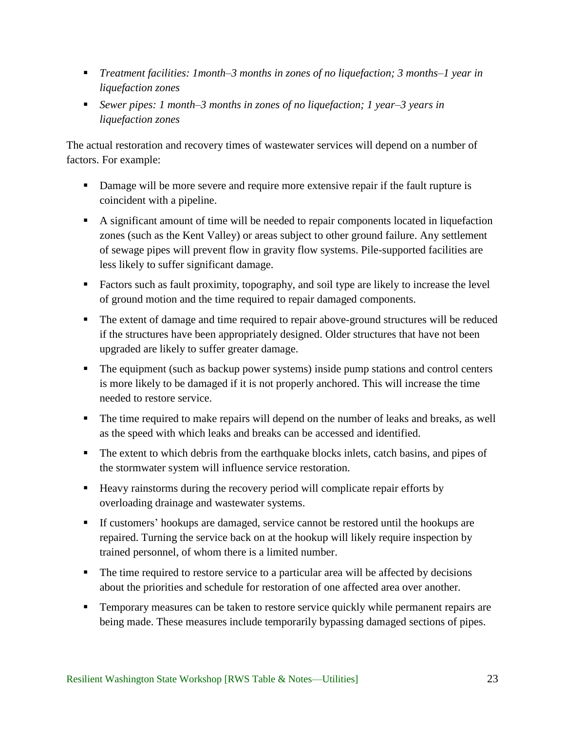- *Treatment facilities: 1month–3 months in zones of no liquefaction; 3 months–1 year in liquefaction zones*
- *Sewer pipes: 1 month–3 months in zones of no liquefaction; 1 year–3 years in liquefaction zones*

The actual restoration and recovery times of wastewater services will depend on a number of factors. For example:

- **Damage will be more severe and require more extensive repair if the fault rupture is** coincident with a pipeline.
- A significant amount of time will be needed to repair components located in liquefaction zones (such as the Kent Valley) or areas subject to other ground failure. Any settlement of sewage pipes will prevent flow in gravity flow systems. Pile-supported facilities are less likely to suffer significant damage.
- Factors such as fault proximity, topography, and soil type are likely to increase the level of ground motion and the time required to repair damaged components.
- The extent of damage and time required to repair above-ground structures will be reduced if the structures have been appropriately designed. Older structures that have not been upgraded are likely to suffer greater damage.
- The equipment (such as backup power systems) inside pump stations and control centers is more likely to be damaged if it is not properly anchored. This will increase the time needed to restore service.
- The time required to make repairs will depend on the number of leaks and breaks, as well as the speed with which leaks and breaks can be accessed and identified.
- The extent to which debris from the earthquake blocks inlets, catch basins, and pipes of the stormwater system will influence service restoration.
- Heavy rainstorms during the recovery period will complicate repair efforts by overloading drainage and wastewater systems.
- If customers' hookups are damaged, service cannot be restored until the hookups are repaired. Turning the service back on at the hookup will likely require inspection by trained personnel, of whom there is a limited number.
- The time required to restore service to a particular area will be affected by decisions about the priorities and schedule for restoration of one affected area over another.
- **Temporary measures can be taken to restore service quickly while permanent repairs are** being made. These measures include temporarily bypassing damaged sections of pipes.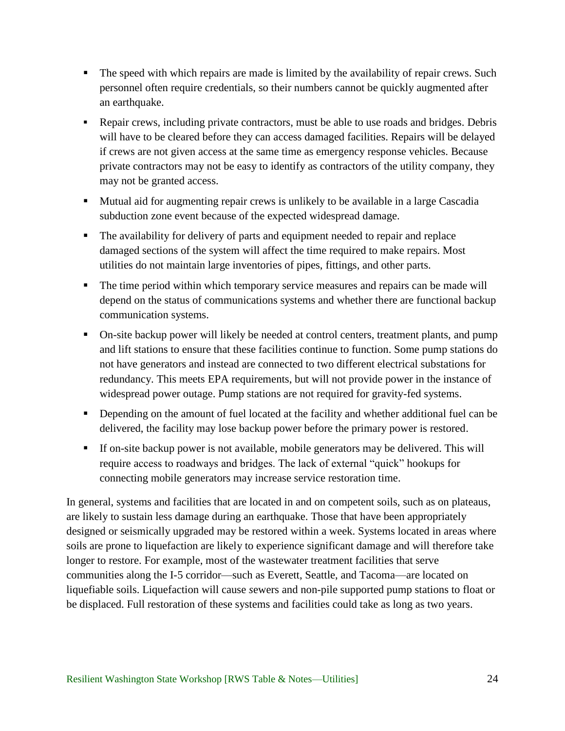- The speed with which repairs are made is limited by the availability of repair crews. Such personnel often require credentials, so their numbers cannot be quickly augmented after an earthquake.
- Repair crews, including private contractors, must be able to use roads and bridges. Debris will have to be cleared before they can access damaged facilities. Repairs will be delayed if crews are not given access at the same time as emergency response vehicles. Because private contractors may not be easy to identify as contractors of the utility company, they may not be granted access.
- **Mutual aid for augmenting repair crews is unlikely to be available in a large Cascadia** subduction zone event because of the expected widespread damage.
- The availability for delivery of parts and equipment needed to repair and replace damaged sections of the system will affect the time required to make repairs. Most utilities do not maintain large inventories of pipes, fittings, and other parts.
- The time period within which temporary service measures and repairs can be made will depend on the status of communications systems and whether there are functional backup communication systems.
- On-site backup power will likely be needed at control centers, treatment plants, and pump and lift stations to ensure that these facilities continue to function. Some pump stations do not have generators and instead are connected to two different electrical substations for redundancy. This meets EPA requirements, but will not provide power in the instance of widespread power outage. Pump stations are not required for gravity-fed systems.
- Depending on the amount of fuel located at the facility and whether additional fuel can be delivered, the facility may lose backup power before the primary power is restored.
- If on-site backup power is not available, mobile generators may be delivered. This will require access to roadways and bridges. The lack of external "quick" hookups for connecting mobile generators may increase service restoration time.

In general, systems and facilities that are located in and on competent soils, such as on plateaus, are likely to sustain less damage during an earthquake. Those that have been appropriately designed or seismically upgraded may be restored within a week. Systems located in areas where soils are prone to liquefaction are likely to experience significant damage and will therefore take longer to restore. For example, most of the wastewater treatment facilities that serve communities along the I-5 corridor—such as Everett, Seattle, and Tacoma—are located on liquefiable soils. Liquefaction will cause *s*ewers and non-pile supported pump stations to float or be displaced. Full restoration of these systems and facilities could take as long as two years.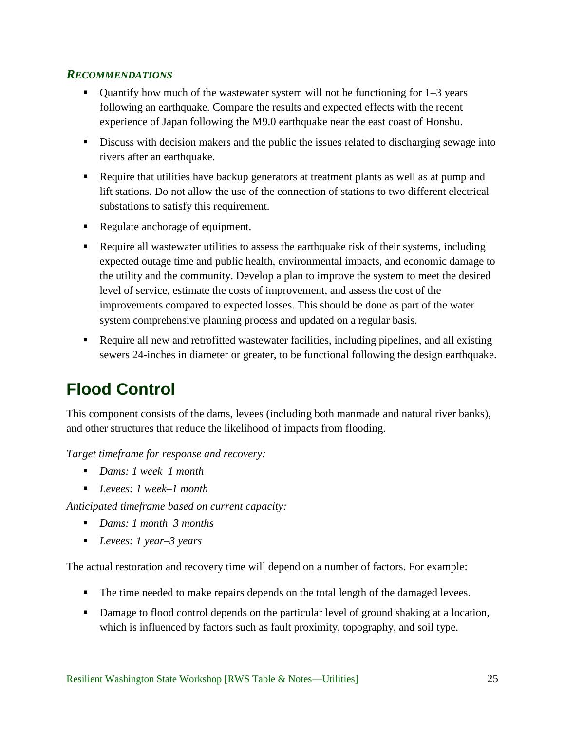- <span id="page-29-0"></span>Quantify how much of the wastewater system will not be functioning for  $1-3$  years following an earthquake. Compare the results and expected effects with the recent experience of Japan following the M9.0 earthquake near the east coast of Honshu.
- **Discuss with decision makers and the public the issues related to discharging sewage into** rivers after an earthquake.
- Require that utilities have backup generators at treatment plants as well as at pump and lift stations. Do not allow the use of the connection of stations to two different electrical substations to satisfy this requirement.
- Regulate anchorage of equipment.
- Require all wastewater utilities to assess the earthquake risk of their systems, including expected outage time and public health, environmental impacts, and economic damage to the utility and the community. Develop a plan to improve the system to meet the desired level of service, estimate the costs of improvement, and assess the cost of the improvements compared to expected losses. This should be done as part of the water system comprehensive planning process and updated on a regular basis.
- Require all new and retrofitted wastewater facilities, including pipelines, and all existing sewers 24-inches in diameter or greater, to be functional following the design earthquake.

# <span id="page-29-1"></span>**Flood Control**

This component consists of the dams, levees (including both manmade and natural river banks), and other structures that reduce the likelihood of impacts from flooding.

*Target timeframe for response and recovery:* 

- *Dams: 1 week–1 month*
- *Levees: 1 week–1 month*

*Anticipated timeframe based on current capacity:* 

- *Dams: 1 month–3 months*
- *Levees: 1 year–3 years*

The actual restoration and recovery time will depend on a number of factors. For example:

- The time needed to make repairs depends on the total length of the damaged levees.
- Damage to flood control depends on the particular level of ground shaking at a location, which is influenced by factors such as fault proximity, topography, and soil type.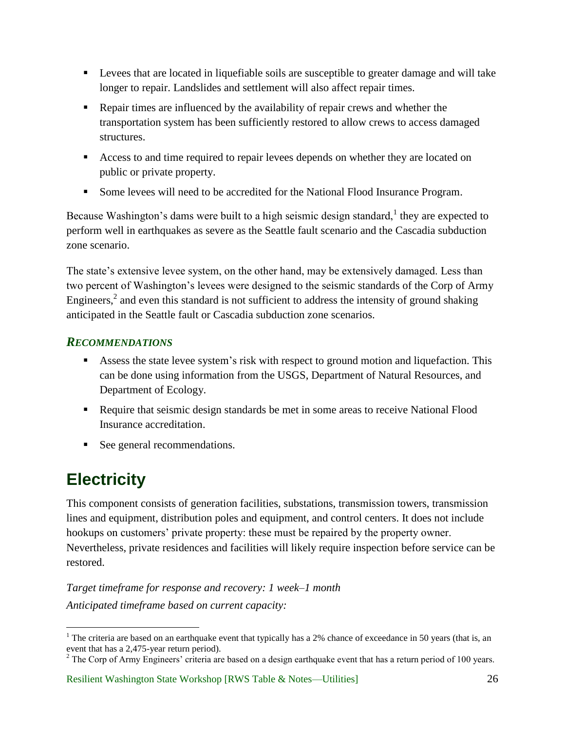- **Exercise 1** Levees that are located in liquefiable soils are susceptible to greater damage and will take longer to repair. Landslides and settlement will also affect repair times.
- Repair times are influenced by the availability of repair crews and whether the transportation system has been sufficiently restored to allow crews to access damaged structures.
- Access to and time required to repair levees depends on whether they are located on public or private property.
- Some levees will need to be accredited for the National Flood Insurance Program.

Because Washington's dams were built to a high seismic design standard,  $\frac{1}{1}$  they are expected to perform well in earthquakes as severe as the Seattle fault scenario and the Cascadia subduction zone scenario.

The state's extensive levee system, on the other hand, may be extensively damaged. Less than two percent of Washington's levees were designed to the seismic standards of the Corp of Army Engineers, $^2$  and even this standard is not sufficient to address the intensity of ground shaking anticipated in the Seattle fault or Cascadia subduction zone scenarios.

## <span id="page-30-0"></span>*RECOMMENDATIONS*

- Assess the state levee system's risk with respect to ground motion and liquefaction. This can be done using information from the USGS, Department of Natural Resources, and Department of Ecology.
- Require that seismic design standards be met in some areas to receive National Flood Insurance accreditation.
- See general recommendations.

# <span id="page-30-1"></span>**Electricity**

 $\overline{a}$ 

This component consists of generation facilities, substations, transmission towers, transmission lines and equipment, distribution poles and equipment, and control centers. It does not include hookups on customers' private property: these must be repaired by the property owner. Nevertheless, private residences and facilities will likely require inspection before service can be restored.

*Target timeframe for response and recovery: 1 week–1 month Anticipated timeframe based on current capacity:* 

<sup>&</sup>lt;sup>1</sup> The criteria are based on an earthquake event that typically has a 2% chance of exceedance in 50 years (that is, an event that has a 2,475-year return period).

<sup>&</sup>lt;sup>2</sup> The Corp of Army Engineers' criteria are based on a design earthquake event that has a return period of 100 years.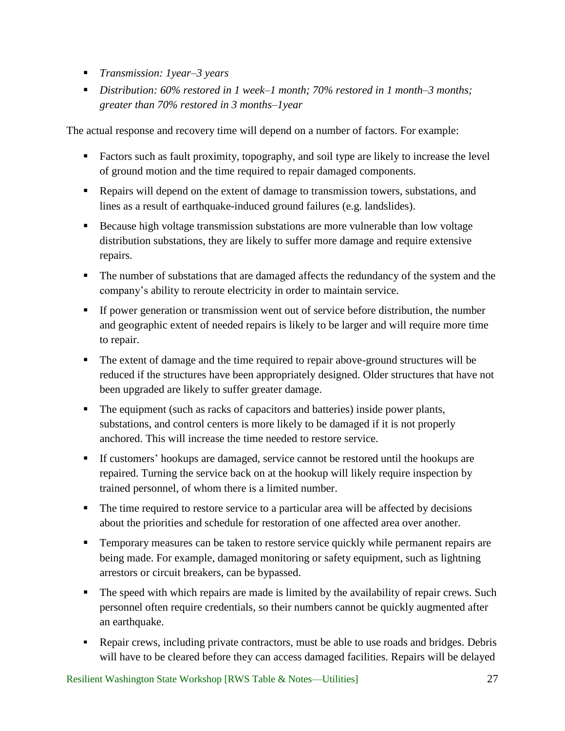- *Transmission: 1year–3 years*
- *Distribution: 60% restored in 1 week–1 month; 70% restored in 1 month–3 months; greater than 70% restored in 3 months–1year*

The actual response and recovery time will depend on a number of factors. For example:

- Factors such as fault proximity, topography, and soil type are likely to increase the level of ground motion and the time required to repair damaged components.
- Repairs will depend on the extent of damage to transmission towers, substations, and lines as a result of earthquake-induced ground failures (e.g. landslides).
- Because high voltage transmission substations are more vulnerable than low voltage distribution substations, they are likely to suffer more damage and require extensive repairs.
- The number of substations that are damaged affects the redundancy of the system and the company's ability to reroute electricity in order to maintain service.
- If power generation or transmission went out of service before distribution, the number and geographic extent of needed repairs is likely to be larger and will require more time to repair.
- The extent of damage and the time required to repair above-ground structures will be reduced if the structures have been appropriately designed. Older structures that have not been upgraded are likely to suffer greater damage.
- The equipment (such as racks of capacitors and batteries) inside power plants, substations, and control centers is more likely to be damaged if it is not properly anchored. This will increase the time needed to restore service.
- If customers' hookups are damaged, service cannot be restored until the hookups are repaired. Turning the service back on at the hookup will likely require inspection by trained personnel, of whom there is a limited number.
- The time required to restore service to a particular area will be affected by decisions about the priorities and schedule for restoration of one affected area over another.
- **Temporary measures can be taken to restore service quickly while permanent repairs are** being made. For example, damaged monitoring or safety equipment, such as lightning arrestors or circuit breakers, can be bypassed.
- The speed with which repairs are made is limited by the availability of repair crews. Such personnel often require credentials, so their numbers cannot be quickly augmented after an earthquake.
- Repair crews, including private contractors, must be able to use roads and bridges. Debris will have to be cleared before they can access damaged facilities. Repairs will be delayed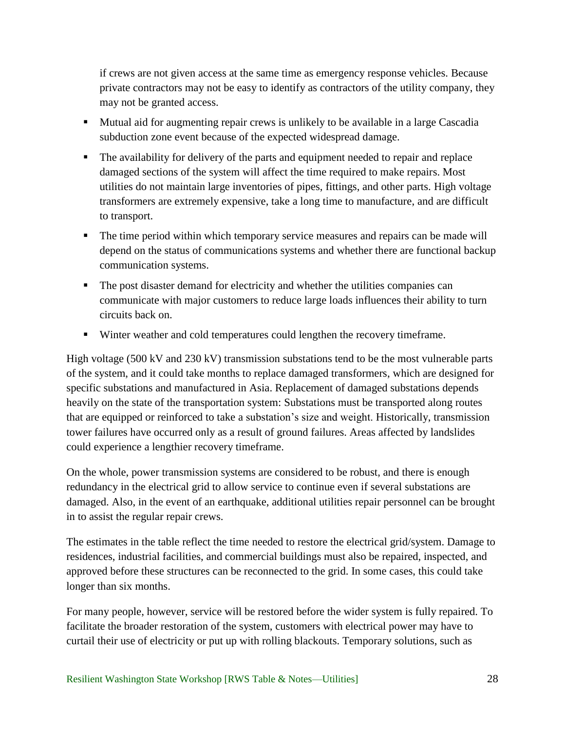if crews are not given access at the same time as emergency response vehicles. Because private contractors may not be easy to identify as contractors of the utility company, they may not be granted access.

- Mutual aid for augmenting repair crews is unlikely to be available in a large Cascadia subduction zone event because of the expected widespread damage.
- The availability for delivery of the parts and equipment needed to repair and replace damaged sections of the system will affect the time required to make repairs. Most utilities do not maintain large inventories of pipes, fittings, and other parts. High voltage transformers are extremely expensive, take a long time to manufacture, and are difficult to transport.
- The time period within which temporary service measures and repairs can be made will depend on the status of communications systems and whether there are functional backup communication systems.
- The post disaster demand for electricity and whether the utilities companies can communicate with major customers to reduce large loads influences their ability to turn circuits back on.
- Winter weather and cold temperatures could lengthen the recovery timeframe.

High voltage (500 kV and 230 kV) transmission substations tend to be the most vulnerable parts of the system, and it could take months to replace damaged transformers, which are designed for specific substations and manufactured in Asia. Replacement of damaged substations depends heavily on the state of the transportation system: Substations must be transported along routes that are equipped or reinforced to take a substation's size and weight. Historically, transmission tower failures have occurred only as a result of ground failures. Areas affected by landslides could experience a lengthier recovery timeframe.

On the whole, power transmission systems are considered to be robust, and there is enough redundancy in the electrical grid to allow service to continue even if several substations are damaged. Also, in the event of an earthquake, additional utilities repair personnel can be brought in to assist the regular repair crews.

The estimates in the table reflect the time needed to restore the electrical grid/system. Damage to residences, industrial facilities, and commercial buildings must also be repaired, inspected, and approved before these structures can be reconnected to the grid. In some cases, this could take longer than six months.

For many people, however, service will be restored before the wider system is fully repaired. To facilitate the broader restoration of the system, customers with electrical power may have to curtail their use of electricity or put up with rolling blackouts. Temporary solutions, such as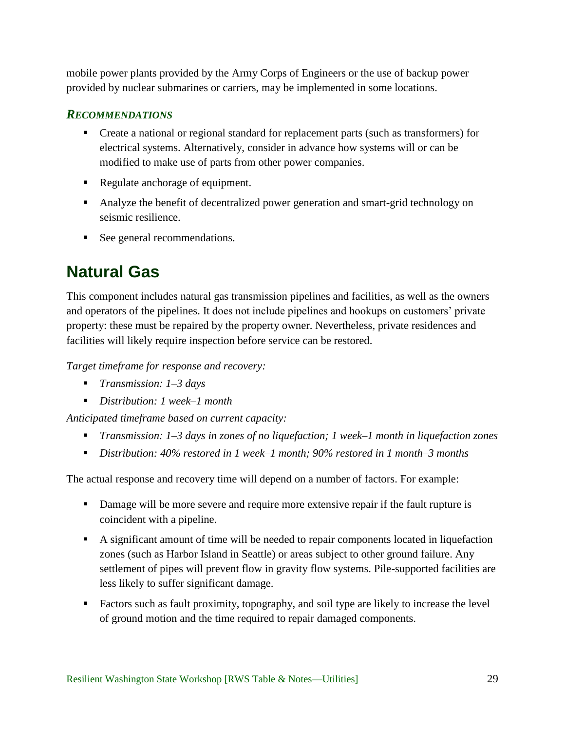mobile power plants provided by the Army Corps of Engineers or the use of backup power provided by nuclear submarines or carriers, may be implemented in some locations.

### <span id="page-33-0"></span>*RECOMMENDATIONS*

- Create a national or regional standard for replacement parts (such as transformers) for electrical systems. Alternatively, consider in advance how systems will or can be modified to make use of parts from other power companies.
- Regulate anchorage of equipment.
- Analyze the benefit of decentralized power generation and smart-grid technology on seismic resilience.
- See general recommendations.

# <span id="page-33-1"></span>**Natural Gas**

This component includes natural gas transmission pipelines and facilities, as well as the owners and operators of the pipelines. It does not include pipelines and hookups on customers' private property: these must be repaired by the property owner. Nevertheless, private residences and facilities will likely require inspection before service can be restored.

*Target timeframe for response and recovery:* 

- *Transmission: 1–3 days*
- *Distribution: 1 week–1 month*

*Anticipated timeframe based on current capacity:* 

- *Transmission: 1–3 days in zones of no liquefaction; 1 week–1 month in liquefaction zones*
- *Distribution: 40% restored in 1 week–1 month; 90% restored in 1 month–3 months*

The actual response and recovery time will depend on a number of factors. For example:

- Damage will be more severe and require more extensive repair if the fault rupture is coincident with a pipeline.
- A significant amount of time will be needed to repair components located in liquefaction zones (such as Harbor Island in Seattle) or areas subject to other ground failure. Any settlement of pipes will prevent flow in gravity flow systems. Pile-supported facilities are less likely to suffer significant damage.
- Factors such as fault proximity, topography, and soil type are likely to increase the level of ground motion and the time required to repair damaged components.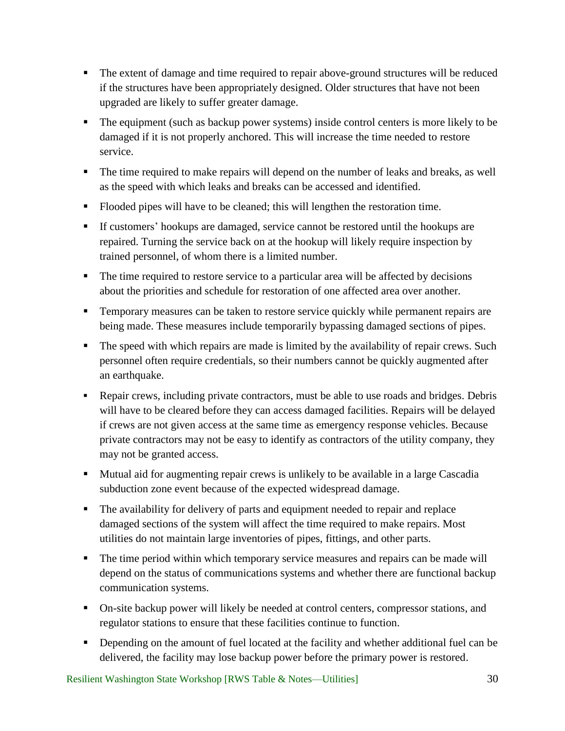- The extent of damage and time required to repair above-ground structures will be reduced if the structures have been appropriately designed. Older structures that have not been upgraded are likely to suffer greater damage.
- The equipment (such as backup power systems) inside control centers is more likely to be damaged if it is not properly anchored. This will increase the time needed to restore service.
- The time required to make repairs will depend on the number of leaks and breaks, as well as the speed with which leaks and breaks can be accessed and identified.
- Flooded pipes will have to be cleaned; this will lengthen the restoration time.
- If customers' hookups are damaged, service cannot be restored until the hookups are repaired. Turning the service back on at the hookup will likely require inspection by trained personnel, of whom there is a limited number.
- The time required to restore service to a particular area will be affected by decisions about the priorities and schedule for restoration of one affected area over another.
- **Temporary measures can be taken to restore service quickly while permanent repairs are** being made. These measures include temporarily bypassing damaged sections of pipes.
- The speed with which repairs are made is limited by the availability of repair crews. Such personnel often require credentials, so their numbers cannot be quickly augmented after an earthquake.
- Repair crews, including private contractors, must be able to use roads and bridges. Debris will have to be cleared before they can access damaged facilities. Repairs will be delayed if crews are not given access at the same time as emergency response vehicles. Because private contractors may not be easy to identify as contractors of the utility company, they may not be granted access.
- Mutual aid for augmenting repair crews is unlikely to be available in a large Cascadia subduction zone event because of the expected widespread damage.
- The availability for delivery of parts and equipment needed to repair and replace damaged sections of the system will affect the time required to make repairs. Most utilities do not maintain large inventories of pipes, fittings, and other parts.
- The time period within which temporary service measures and repairs can be made will depend on the status of communications systems and whether there are functional backup communication systems.
- On-site backup power will likely be needed at control centers, compressor stations, and regulator stations to ensure that these facilities continue to function.
- Depending on the amount of fuel located at the facility and whether additional fuel can be delivered, the facility may lose backup power before the primary power is restored.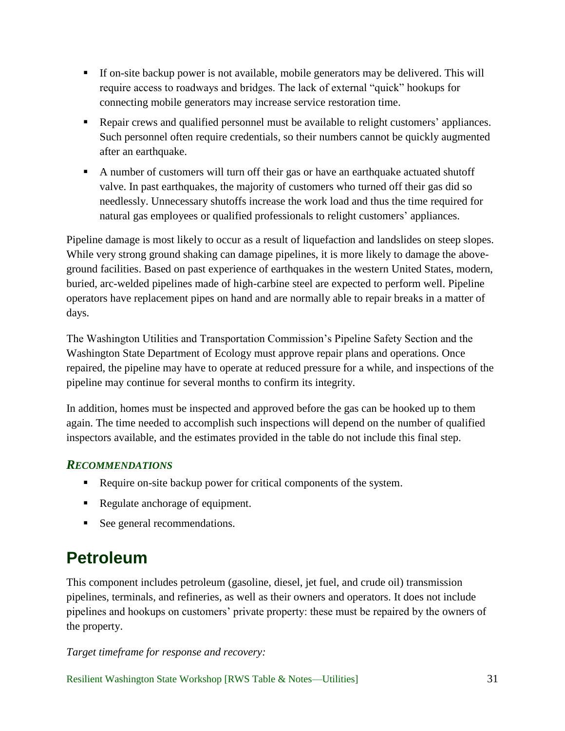- If on-site backup power is not available, mobile generators may be delivered. This will require access to roadways and bridges. The lack of external "quick" hookups for connecting mobile generators may increase service restoration time.
- Repair crews and qualified personnel must be available to relight customers' appliances. Such personnel often require credentials, so their numbers cannot be quickly augmented after an earthquake.
- A number of customers will turn off their gas or have an earthquake actuated shutoff valve. In past earthquakes, the majority of customers who turned off their gas did so needlessly. Unnecessary shutoffs increase the work load and thus the time required for natural gas employees or qualified professionals to relight customers' appliances.

Pipeline damage is most likely to occur as a result of liquefaction and landslides on steep slopes. While very strong ground shaking can damage pipelines, it is more likely to damage the aboveground facilities. Based on past experience of earthquakes in the western United States, modern, buried, arc-welded pipelines made of high-carbine steel are expected to perform well. Pipeline operators have replacement pipes on hand and are normally able to repair breaks in a matter of days.

The Washington Utilities and Transportation Commission's Pipeline Safety Section and the Washington State Department of Ecology must approve repair plans and operations. Once repaired, the pipeline may have to operate at reduced pressure for a while, and inspections of the pipeline may continue for several months to confirm its integrity.

In addition, homes must be inspected and approved before the gas can be hooked up to them again. The time needed to accomplish such inspections will depend on the number of qualified inspectors available, and the estimates provided in the table do not include this final step.

### <span id="page-35-0"></span>*RECOMMENDATIONS*

- Require on-site backup power for critical components of the system.
- Regulate anchorage of equipment.
- See general recommendations.

# <span id="page-35-1"></span>**Petroleum**

This component includes petroleum (gasoline, diesel, jet fuel, and crude oil) transmission pipelines, terminals, and refineries, as well as their owners and operators. It does not include pipelines and hookups on customers' private property: these must be repaired by the owners of the property.

*Target timeframe for response and recovery:*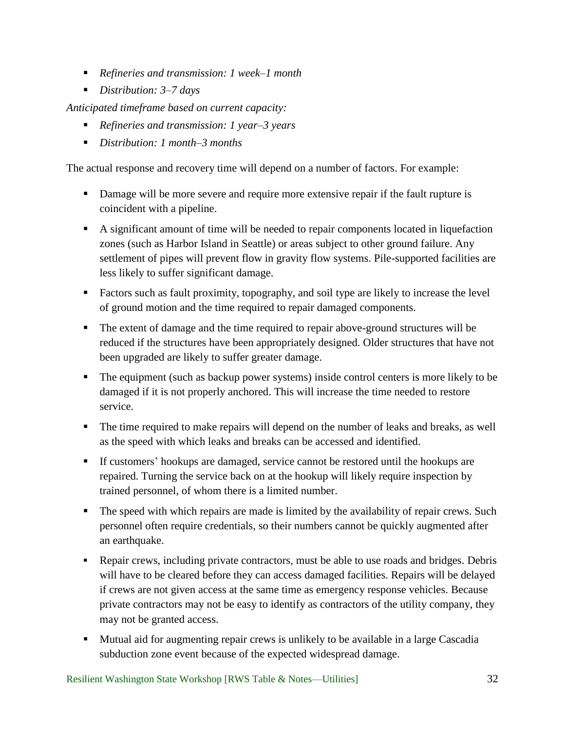- *Refineries and transmission: 1 week–1 month*
- *Distribution: 3–7 days*

*Anticipated timeframe based on current capacity:* 

- *Refineries and transmission: 1 year–3 years*
- *Distribution: 1 month–3 months*

The actual response and recovery time will depend on a number of factors. For example:

- Damage will be more severe and require more extensive repair if the fault rupture is coincident with a pipeline.
- A significant amount of time will be needed to repair components located in liquefaction zones (such as Harbor Island in Seattle) or areas subject to other ground failure. Any settlement of pipes will prevent flow in gravity flow systems. Pile-supported facilities are less likely to suffer significant damage.
- Factors such as fault proximity, topography, and soil type are likely to increase the level of ground motion and the time required to repair damaged components.
- The extent of damage and the time required to repair above-ground structures will be reduced if the structures have been appropriately designed. Older structures that have not been upgraded are likely to suffer greater damage.
- The equipment (such as backup power systems) inside control centers is more likely to be damaged if it is not properly anchored. This will increase the time needed to restore service.
- The time required to make repairs will depend on the number of leaks and breaks, as well as the speed with which leaks and breaks can be accessed and identified.
- If customers' hookups are damaged, service cannot be restored until the hookups are repaired. Turning the service back on at the hookup will likely require inspection by trained personnel, of whom there is a limited number.
- **The speed with which repairs are made is limited by the availability of repair crews. Such** personnel often require credentials, so their numbers cannot be quickly augmented after an earthquake.
- Repair crews, including private contractors, must be able to use roads and bridges. Debris will have to be cleared before they can access damaged facilities. Repairs will be delayed if crews are not given access at the same time as emergency response vehicles. Because private contractors may not be easy to identify as contractors of the utility company, they may not be granted access.
- **Mutual aid for augmenting repair crews is unlikely to be available in a large Cascadia** subduction zone event because of the expected widespread damage.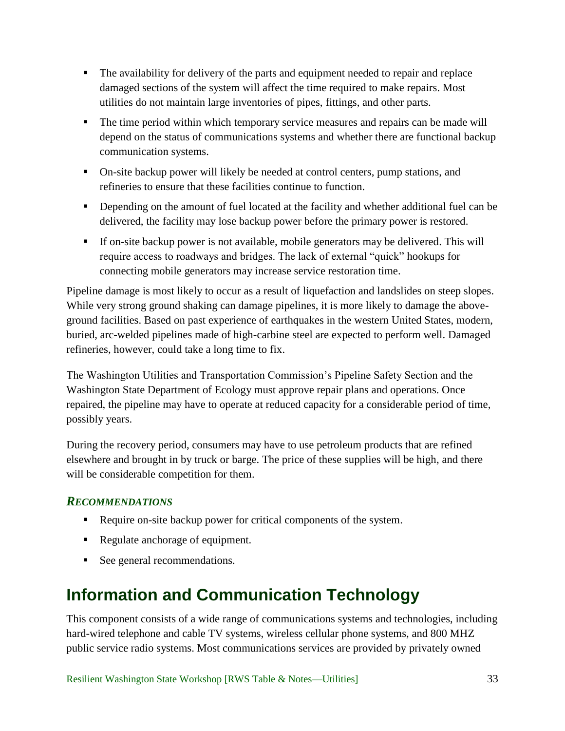- The availability for delivery of the parts and equipment needed to repair and replace damaged sections of the system will affect the time required to make repairs. Most utilities do not maintain large inventories of pipes, fittings, and other parts.
- The time period within which temporary service measures and repairs can be made will depend on the status of communications systems and whether there are functional backup communication systems.
- On-site backup power will likely be needed at control centers, pump stations, and refineries to ensure that these facilities continue to function.
- Depending on the amount of fuel located at the facility and whether additional fuel can be delivered, the facility may lose backup power before the primary power is restored.
- If on-site backup power is not available, mobile generators may be delivered. This will require access to roadways and bridges. The lack of external "quick" hookups for connecting mobile generators may increase service restoration time.

Pipeline damage is most likely to occur as a result of liquefaction and landslides on steep slopes. While very strong ground shaking can damage pipelines, it is more likely to damage the aboveground facilities. Based on past experience of earthquakes in the western United States, modern, buried, arc-welded pipelines made of high-carbine steel are expected to perform well. Damaged refineries, however, could take a long time to fix.

The Washington Utilities and Transportation Commission's Pipeline Safety Section and the Washington State Department of Ecology must approve repair plans and operations. Once repaired, the pipeline may have to operate at reduced capacity for a considerable period of time, possibly years.

During the recovery period, consumers may have to use petroleum products that are refined elsewhere and brought in by truck or barge. The price of these supplies will be high, and there will be considerable competition for them.

## <span id="page-37-0"></span>*RECOMMENDATIONS*

- Require on-site backup power for critical components of the system.
- Regulate anchorage of equipment.
- See general recommendations.

# <span id="page-37-1"></span>**Information and Communication Technology**

This component consists of a wide range of communications systems and technologies, including hard-wired telephone and cable TV systems, wireless cellular phone systems, and 800 MHZ public service radio systems. Most communications services are provided by privately owned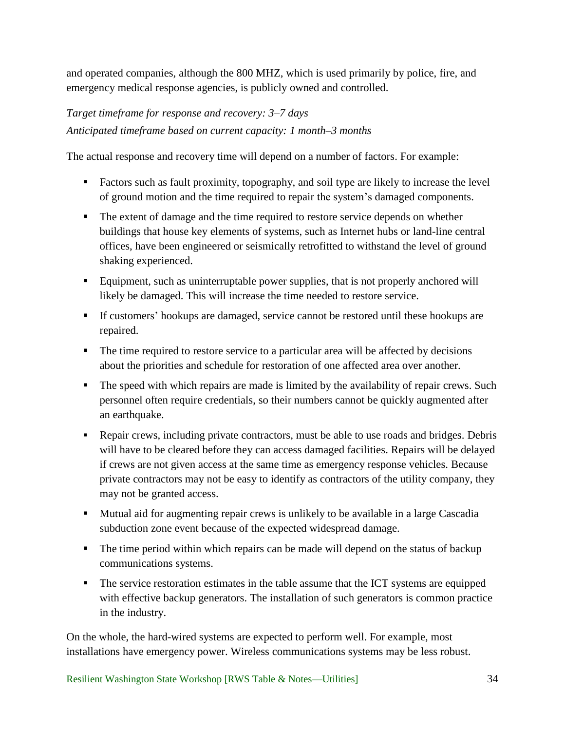and operated companies, although the 800 MHZ, which is used primarily by police, fire, and emergency medical response agencies, is publicly owned and controlled.

## *Target timeframe for response and recovery: 3–7 days Anticipated timeframe based on current capacity: 1 month–3 months*

The actual response and recovery time will depend on a number of factors. For example:

- Factors such as fault proximity, topography, and soil type are likely to increase the level of ground motion and the time required to repair the system's damaged components.
- The extent of damage and the time required to restore service depends on whether buildings that house key elements of systems, such as Internet hubs or land-line central offices, have been engineered or seismically retrofitted to withstand the level of ground shaking experienced.
- Equipment, such as uninterruptable power supplies, that is not properly anchored will likely be damaged. This will increase the time needed to restore service.
- If customers' hookups are damaged, service cannot be restored until these hookups are repaired.
- The time required to restore service to a particular area will be affected by decisions about the priorities and schedule for restoration of one affected area over another.
- The speed with which repairs are made is limited by the availability of repair crews. Such personnel often require credentials, so their numbers cannot be quickly augmented after an earthquake.
- Repair crews, including private contractors, must be able to use roads and bridges. Debris will have to be cleared before they can access damaged facilities. Repairs will be delayed if crews are not given access at the same time as emergency response vehicles. Because private contractors may not be easy to identify as contractors of the utility company, they may not be granted access.
- Mutual aid for augmenting repair crews is unlikely to be available in a large Cascadia subduction zone event because of the expected widespread damage.
- The time period within which repairs can be made will depend on the status of backup communications systems.
- The service restoration estimates in the table assume that the ICT systems are equipped with effective backup generators. The installation of such generators is common practice in the industry.

On the whole, the hard-wired systems are expected to perform well. For example, most installations have emergency power. Wireless communications systems may be less robust.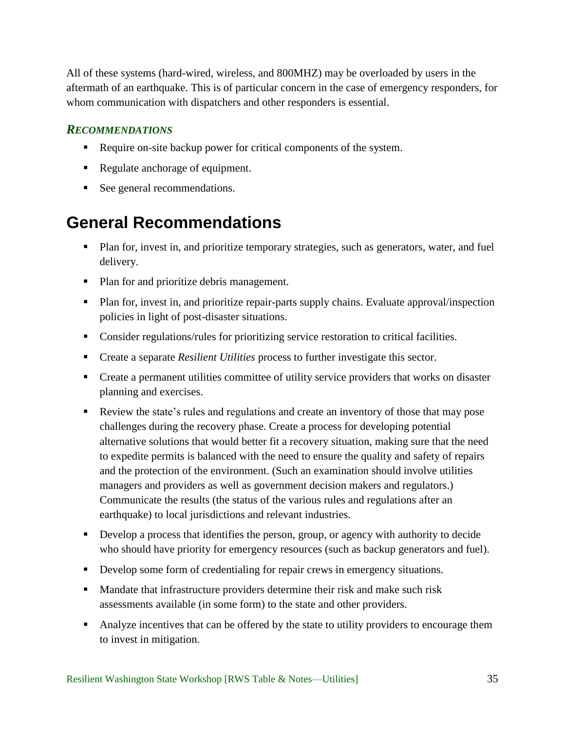All of these systems (hard-wired, wireless, and 800MHZ) may be overloaded by users in the aftermath of an earthquake. This is of particular concern in the case of emergency responders, for whom communication with dispatchers and other responders is essential.

### <span id="page-39-0"></span>*RECOMMENDATIONS*

- Require on-site backup power for critical components of the system.
- Regulate anchorage of equipment.
- See general recommendations.

# <span id="page-39-1"></span>**General Recommendations**

- **Plan for, invest in, and prioritize temporary strategies, such as generators, water, and fuel** delivery.
- Plan for and prioritize debris management.
- **Plan for, invest in, and prioritize repair-parts supply chains. Evaluate approval/inspection** policies in light of post-disaster situations.
- **Consider regulations/rules for prioritizing service restoration to critical facilities.**
- Create a separate *Resilient Utilities* process to further investigate this sector.
- Create a permanent utilities committee of utility service providers that works on disaster planning and exercises.
- Review the state's rules and regulations and create an inventory of those that may pose challenges during the recovery phase. Create a process for developing potential alternative solutions that would better fit a recovery situation, making sure that the need to expedite permits is balanced with the need to ensure the quality and safety of repairs and the protection of the environment. (Such an examination should involve utilities managers and providers as well as government decision makers and regulators.) Communicate the results (the status of the various rules and regulations after an earthquake) to local jurisdictions and relevant industries.
- Develop a process that identifies the person, group, or agency with authority to decide who should have priority for emergency resources (such as backup generators and fuel).
- Develop some form of credentialing for repair crews in emergency situations.
- Mandate that infrastructure providers determine their risk and make such risk assessments available (in some form) to the state and other providers.
- Analyze incentives that can be offered by the state to utility providers to encourage them to invest in mitigation.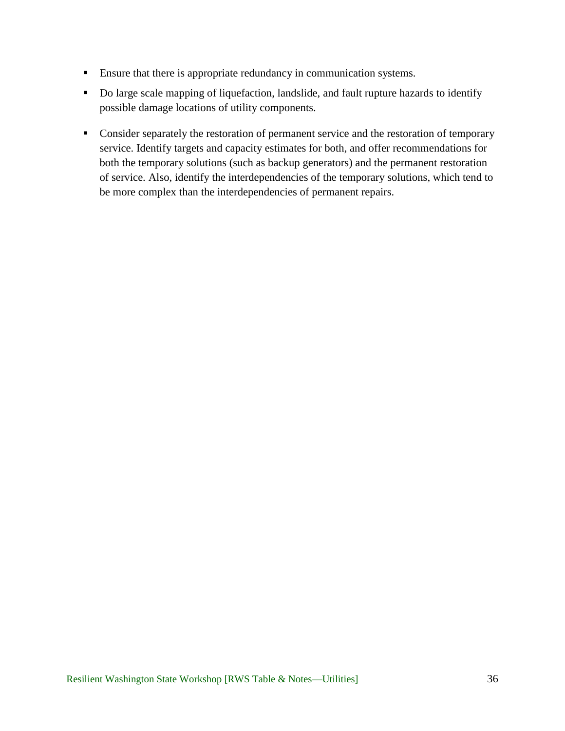- **Ensure that there is appropriate redundancy in communication systems.**
- Do large scale mapping of liquefaction, landslide, and fault rupture hazards to identify possible damage locations of utility components.
- Consider separately the restoration of permanent service and the restoration of temporary service. Identify targets and capacity estimates for both, and offer recommendations for both the temporary solutions (such as backup generators) and the permanent restoration of service. Also, identify the interdependencies of the temporary solutions, which tend to be more complex than the interdependencies of permanent repairs.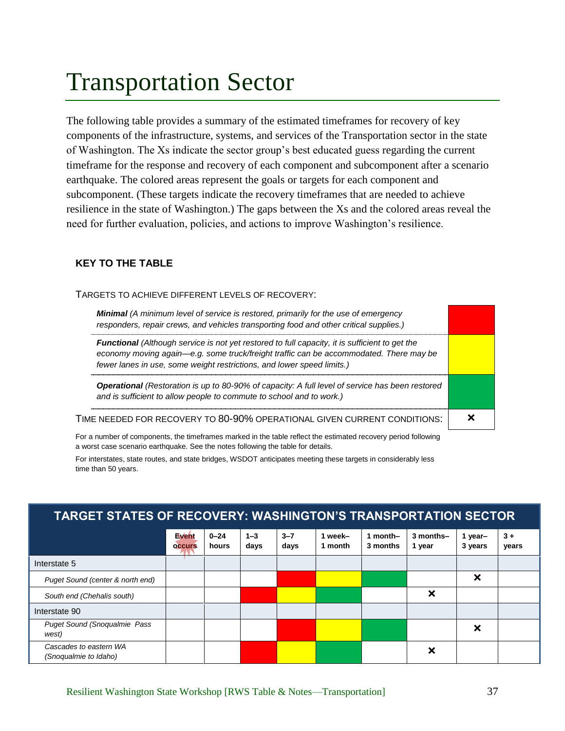# <span id="page-41-0"></span>Transportation Sector

The following table provides a summary of the estimated timeframes for recovery of key components of the infrastructure, systems, and services of the Transportation sector in the state of Washington. The Xs indicate the sector group's best educated guess regarding the current timeframe for the response and recovery of each component and subcomponent after a scenario earthquake. The colored areas represent the goals or targets for each component and subcomponent. (These targets indicate the recovery timeframes that are needed to achieve resilience in the state of Washington.) The gaps between the Xs and the colored areas reveal the need for further evaluation, policies, and actions to improve Washington's resilience.

#### **KEY TO THE TABLE**

#### TARGETS TO ACHIEVE DIFFERENT LEVELS OF RECOVERY:

| <b>Minimal</b> (A minimum level of service is restored, primarily for the use of emergency<br>responders, repair crews, and vehicles transporting food and other critical supplies.)                                                                                      |  |
|---------------------------------------------------------------------------------------------------------------------------------------------------------------------------------------------------------------------------------------------------------------------------|--|
| <b>Functional</b> (Although service is not yet restored to full capacity, it is sufficient to get the<br>economy moving again-e.g. some truck/freight traffic can be accommodated. There may be<br>fewer lanes in use, some weight restrictions, and lower speed limits.) |  |
| <b>Operational</b> (Restoration is up to 80-90% of capacity: A full level of service has been restored<br>and is sufficient to allow people to commute to school and to work.)                                                                                            |  |
| TIME NEEDED FOR RECOVERY TO 80-90% OPERATIONAL GIVEN CURRENT CONDITIONS:                                                                                                                                                                                                  |  |

For a number of components, the timeframes marked in the table reflect the estimated recovery period following a worst case scenario earthquake. See the notes following the table for details.

For interstates, state routes, and state bridges, WSDOT anticipates meeting these targets in considerably less time than 50 years.

| <b>TARGET STATES OF RECOVERY: WASHINGTON'S TRANSPORTATION SECTOR</b> |                               |                   |                 |                 |                    |                      |                     |                           |               |
|----------------------------------------------------------------------|-------------------------------|-------------------|-----------------|-----------------|--------------------|----------------------|---------------------|---------------------------|---------------|
|                                                                      | <b>Event</b><br><b>OCCUIS</b> | $0 - 24$<br>hours | $1 - 3$<br>days | $3 - 7$<br>days | 1 week-<br>1 month | 1 month-<br>3 months | 3 months-<br>1 year | 1 year-<br>3 years        | $3+$<br>years |
| Interstate 5                                                         |                               |                   |                 |                 |                    |                      |                     |                           |               |
| Puget Sound (center & north end)                                     |                               |                   |                 |                 |                    |                      |                     | ×                         |               |
| South end (Chehalis south)                                           |                               |                   |                 |                 |                    |                      | ×                   |                           |               |
| Interstate 90                                                        |                               |                   |                 |                 |                    |                      |                     |                           |               |
| <b>Puget Sound (Snoqualmie Pass</b><br>west)                         |                               |                   |                 |                 |                    |                      |                     | $\boldsymbol{\mathsf{x}}$ |               |
| Cascades to eastern WA<br>(Snoqualmie to Idaho)                      |                               |                   |                 |                 |                    |                      | ×                   |                           |               |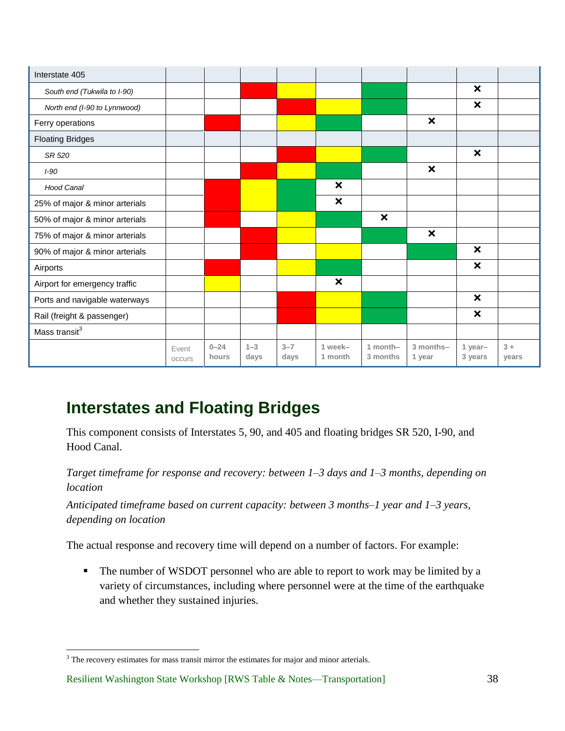| Interstate 405                 |                 |                   |                 |                 |                           |                           |                           |                           |               |
|--------------------------------|-----------------|-------------------|-----------------|-----------------|---------------------------|---------------------------|---------------------------|---------------------------|---------------|
| South end (Tukwila to I-90)    |                 |                   |                 |                 |                           |                           |                           | $\boldsymbol{\mathsf{x}}$ |               |
| North end (I-90 to Lynnwood)   |                 |                   |                 |                 |                           |                           |                           | $\boldsymbol{\mathsf{x}}$ |               |
| Ferry operations               |                 |                   |                 |                 |                           |                           | $\boldsymbol{\mathsf{x}}$ |                           |               |
| <b>Floating Bridges</b>        |                 |                   |                 |                 |                           |                           |                           |                           |               |
| SR 520                         |                 |                   |                 |                 |                           |                           |                           | $\boldsymbol{\mathsf{x}}$ |               |
| $I-90$                         |                 |                   |                 |                 |                           |                           | $\boldsymbol{\mathsf{x}}$ |                           |               |
| <b>Hood Canal</b>              |                 |                   |                 |                 | $\boldsymbol{\mathsf{x}}$ |                           |                           |                           |               |
| 25% of major & minor arterials |                 |                   |                 |                 | $\boldsymbol{\mathsf{x}}$ |                           |                           |                           |               |
| 50% of major & minor arterials |                 |                   |                 |                 |                           | $\boldsymbol{\mathsf{x}}$ |                           |                           |               |
| 75% of major & minor arterials |                 |                   |                 |                 |                           |                           | $\boldsymbol{\mathsf{x}}$ |                           |               |
| 90% of major & minor arterials |                 |                   |                 |                 |                           |                           |                           | $\boldsymbol{\mathsf{x}}$ |               |
| Airports                       |                 |                   |                 |                 |                           |                           |                           | $\boldsymbol{\mathsf{x}}$ |               |
| Airport for emergency traffic  |                 |                   |                 |                 | $\boldsymbol{\mathsf{x}}$ |                           |                           |                           |               |
| Ports and navigable waterways  |                 |                   |                 |                 |                           |                           |                           | $\boldsymbol{\mathsf{x}}$ |               |
| Rail (freight & passenger)     |                 |                   |                 |                 |                           |                           |                           | ×                         |               |
| Mass transit <sup>3</sup>      |                 |                   |                 |                 |                           |                           |                           |                           |               |
|                                | Event<br>occurs | $0 - 24$<br>hours | $1 - 3$<br>days | $3 - 7$<br>days | 1 week-<br>1 month        | $1$ month-<br>3 months    | 3 months-<br>1 year       | 1 year-<br>3 years        | $3+$<br>years |

# <span id="page-42-0"></span>**Interstates and Floating Bridges**

This component consists of Interstates 5, 90, and 405 and floating bridges SR 520, I-90, and Hood Canal.

*Target timeframe for response and recovery: between 1–3 days and 1–3 months, depending on location*

*Anticipated timeframe based on current capacity: between 3 months–1 year and 1–3 years, depending on location*

The actual response and recovery time will depend on a number of factors. For example:

• The number of WSDOT personnel who are able to report to work may be limited by a variety of circumstances, including where personnel were at the time of the earthquake and whether they sustained injuries.

 $\overline{a}$ <sup>3</sup> The recovery estimates for mass transit mirror the estimates for major and minor arterials.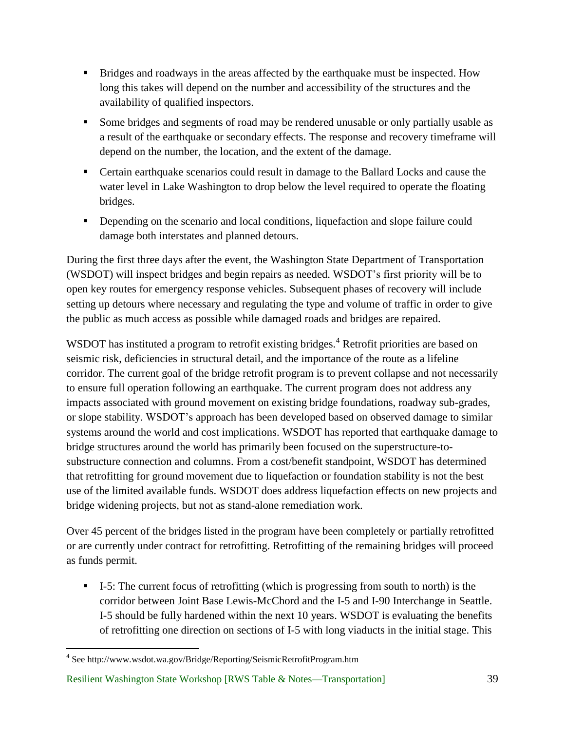- Bridges and roadways in the areas affected by the earthquake must be inspected. How long this takes will depend on the number and accessibility of the structures and the availability of qualified inspectors.
- Some bridges and segments of road may be rendered unusable or only partially usable as a result of the earthquake or secondary effects. The response and recovery timeframe will depend on the number, the location, and the extent of the damage.
- Certain earthquake scenarios could result in damage to the Ballard Locks and cause the water level in Lake Washington to drop below the level required to operate the floating bridges.
- **•** Depending on the scenario and local conditions, liquefaction and slope failure could damage both interstates and planned detours.

During the first three days after the event, the Washington State Department of Transportation (WSDOT) will inspect bridges and begin repairs as needed. WSDOT's first priority will be to open key routes for emergency response vehicles. Subsequent phases of recovery will include setting up detours where necessary and regulating the type and volume of traffic in order to give the public as much access as possible while damaged roads and bridges are repaired.

WSDOT has instituted a program to retrofit existing bridges.<sup>4</sup> Retrofit priorities are based on seismic risk, deficiencies in structural detail, and the importance of the route as a lifeline corridor. The current goal of the bridge retrofit program is to prevent collapse and not necessarily to ensure full operation following an earthquake. The current program does not address any impacts associated with ground movement on existing bridge foundations, roadway sub-grades, or slope stability. WSDOT's approach has been developed based on observed damage to similar systems around the world and cost implications. WSDOT has reported that earthquake damage to bridge structures around the world has primarily been focused on the superstructure-tosubstructure connection and columns. From a cost/benefit standpoint, WSDOT has determined that retrofitting for ground movement due to liquefaction or foundation stability is not the best use of the limited available funds. WSDOT does address liquefaction effects on new projects and bridge widening projects, but not as stand-alone remediation work.

Over 45 percent of the bridges listed in the program have been completely or partially retrofitted or are currently under contract for retrofitting. Retrofitting of the remaining bridges will proceed as funds permit.

 $\blacksquare$  I-5: The current focus of retrofitting (which is progressing from south to north) is the corridor between Joint Base Lewis-McChord and the I-5 and I-90 Interchange in Seattle. I-5 should be fully hardened within the next 10 years. WSDOT is evaluating the benefits of retrofitting one direction on sections of I-5 with long viaducts in the initial stage. This

 $\overline{a}$ 

<sup>&</sup>lt;sup>4</sup> See http://www.wsdot.wa.gov/Bridge/Reporting/SeismicRetrofitProgram.htm

Resilient Washington State Workshop [RWS Table & Notes—Transportation] 39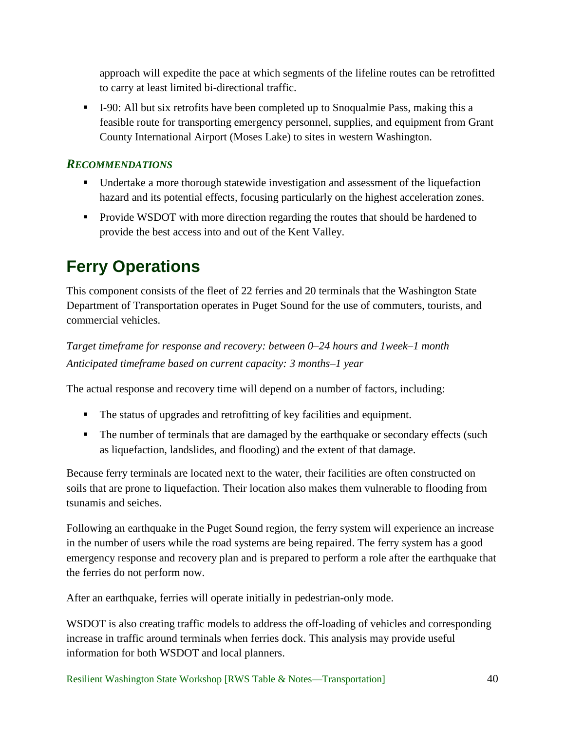approach will expedite the pace at which segments of the lifeline routes can be retrofitted to carry at least limited bi-directional traffic.

 I-90: All but six retrofits have been completed up to Snoqualmie Pass, making this a feasible route for transporting emergency personnel, supplies, and equipment from Grant County International Airport (Moses Lake) to sites in western Washington.

### <span id="page-44-0"></span>*RECOMMENDATIONS*

- Undertake a more thorough statewide investigation and assessment of the liquefaction hazard and its potential effects, focusing particularly on the highest acceleration zones.
- **Provide WSDOT with more direction regarding the routes that should be hardened to** provide the best access into and out of the Kent Valley.

# <span id="page-44-1"></span>**Ferry Operations**

This component consists of the fleet of 22 ferries and 20 terminals that the Washington State Department of Transportation operates in Puget Sound for the use of commuters, tourists, and commercial vehicles.

*Target timeframe for response and recovery: between 0–24 hours and 1week–1 month Anticipated timeframe based on current capacity: 3 months–1 year*

The actual response and recovery time will depend on a number of factors, including:

- The status of upgrades and retrofitting of key facilities and equipment.
- **The number of terminals that are damaged by the earthquake or secondary effects (such** as liquefaction, landslides, and flooding) and the extent of that damage.

Because ferry terminals are located next to the water, their facilities are often constructed on soils that are prone to liquefaction. Their location also makes them vulnerable to flooding from tsunamis and seiches.

Following an earthquake in the Puget Sound region, the ferry system will experience an increase in the number of users while the road systems are being repaired. The ferry system has a good emergency response and recovery plan and is prepared to perform a role after the earthquake that the ferries do not perform now.

After an earthquake, ferries will operate initially in pedestrian-only mode.

WSDOT is also creating traffic models to address the off-loading of vehicles and corresponding increase in traffic around terminals when ferries dock. This analysis may provide useful information for both WSDOT and local planners.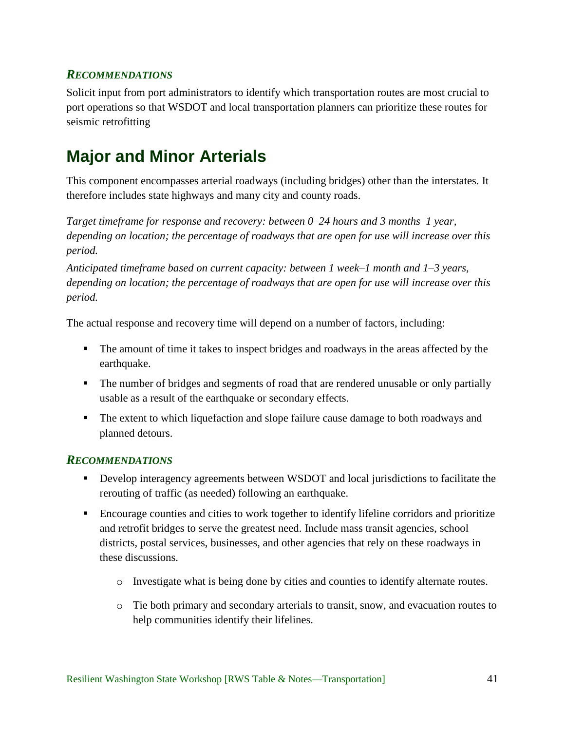<span id="page-45-0"></span>Solicit input from port administrators to identify which transportation routes are most crucial to port operations so that WSDOT and local transportation planners can prioritize these routes for seismic retrofitting

# <span id="page-45-1"></span>**Major and Minor Arterials**

This component encompasses arterial roadways (including bridges) other than the interstates. It therefore includes state highways and many city and county roads.

*Target timeframe for response and recovery: between 0–24 hours and 3 months–1 year, depending on location; the percentage of roadways that are open for use will increase over this period.*

*Anticipated timeframe based on current capacity: between 1 week–1 month and 1–3 years, depending on location; the percentage of roadways that are open for use will increase over this period.*

The actual response and recovery time will depend on a number of factors, including:

- The amount of time it takes to inspect bridges and roadways in the areas affected by the earthquake.
- The number of bridges and segments of road that are rendered unusable or only partially usable as a result of the earthquake or secondary effects.
- The extent to which liquefaction and slope failure cause damage to both roadways and planned detours.

### <span id="page-45-2"></span>*RECOMMENDATIONS*

- **Develop interagency agreements between WSDOT and local jurisdictions to facilitate the** rerouting of traffic (as needed) following an earthquake.
- Encourage counties and cities to work together to identify lifeline corridors and prioritize and retrofit bridges to serve the greatest need. Include mass transit agencies, school districts, postal services, businesses, and other agencies that rely on these roadways in these discussions.
	- o Investigate what is being done by cities and counties to identify alternate routes.
	- o Tie both primary and secondary arterials to transit, snow, and evacuation routes to help communities identify their lifelines.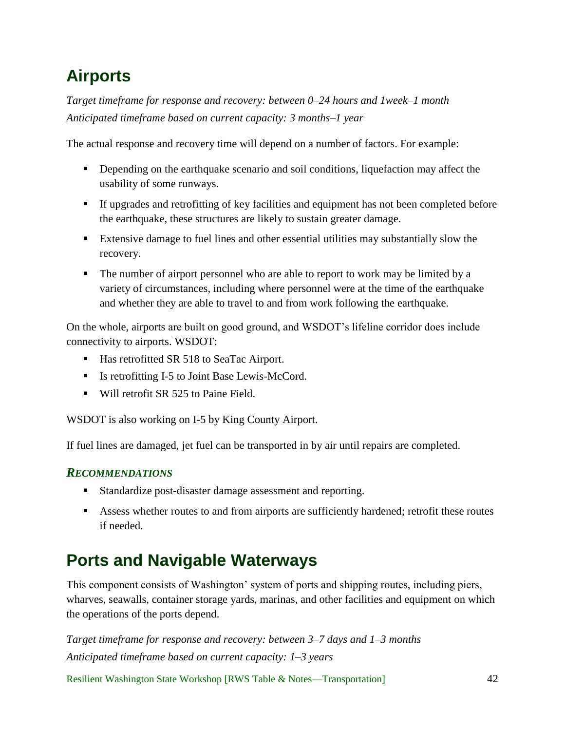# <span id="page-46-0"></span>**Airports**

*Target timeframe for response and recovery: between 0–24 hours and 1week–1 month Anticipated timeframe based on current capacity: 3 months–1 year*

The actual response and recovery time will depend on a number of factors. For example:

- Depending on the earthquake scenario and soil conditions, liquefaction may affect the usability of some runways.
- If upgrades and retrofitting of key facilities and equipment has not been completed before the earthquake, these structures are likely to sustain greater damage.
- Extensive damage to fuel lines and other essential utilities may substantially slow the recovery.
- The number of airport personnel who are able to report to work may be limited by a variety of circumstances, including where personnel were at the time of the earthquake and whether they are able to travel to and from work following the earthquake.

On the whole, airports are built on good ground, and WSDOT's lifeline corridor does include connectivity to airports. WSDOT:

- Has retrofitted SR 518 to SeaTac Airport.
- Is retrofitting I-5 to Joint Base Lewis-McCord.
- Will retrofit SR 525 to Paine Field.

WSDOT is also working on I-5 by King County Airport.

If fuel lines are damaged, jet fuel can be transported in by air until repairs are completed.

### <span id="page-46-1"></span>*RECOMMENDATIONS*

- Standardize post-disaster damage assessment and reporting.
- Assess whether routes to and from airports are sufficiently hardened; retrofit these routes if needed.

# <span id="page-46-2"></span>**Ports and Navigable Waterways**

This component consists of Washington' system of ports and shipping routes, including piers, wharves, seawalls, container storage yards, marinas, and other facilities and equipment on which the operations of the ports depend.

*Target timeframe for response and recovery: between 3–7 days and 1–3 months Anticipated timeframe based on current capacity: 1–3 years*

Resilient Washington State Workshop [RWS Table & Notes—Transportation] 42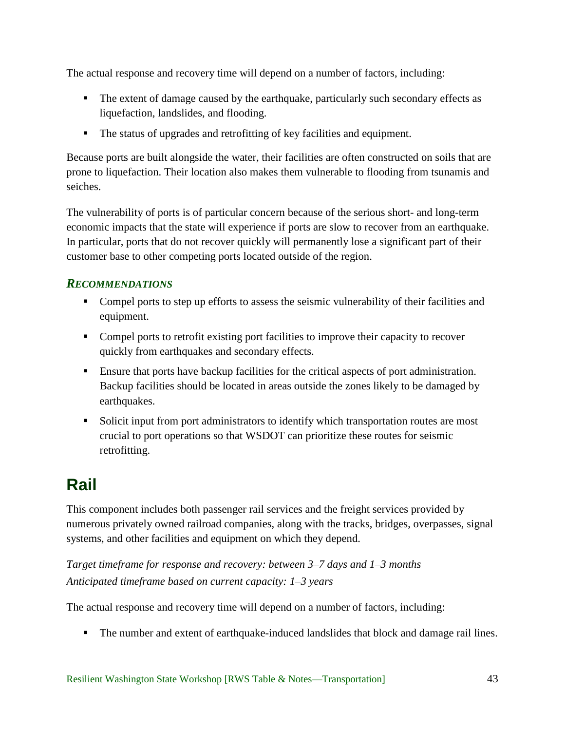The actual response and recovery time will depend on a number of factors, including:

- The extent of damage caused by the earthquake, particularly such secondary effects as liquefaction, landslides, and flooding.
- The status of upgrades and retrofitting of key facilities and equipment.

Because ports are built alongside the water, their facilities are often constructed on soils that are prone to liquefaction. Their location also makes them vulnerable to flooding from tsunamis and seiches.

The vulnerability of ports is of particular concern because of the serious short- and long-term economic impacts that the state will experience if ports are slow to recover from an earthquake. In particular, ports that do not recover quickly will permanently lose a significant part of their customer base to other competing ports located outside of the region.

## <span id="page-47-0"></span>*RECOMMENDATIONS*

- Compel ports to step up efforts to assess the seismic vulnerability of their facilities and equipment.
- Compel ports to retrofit existing port facilities to improve their capacity to recover quickly from earthquakes and secondary effects.
- Ensure that ports have backup facilities for the critical aspects of port administration. Backup facilities should be located in areas outside the zones likely to be damaged by earthquakes.
- Solicit input from port administrators to identify which transportation routes are most crucial to port operations so that WSDOT can prioritize these routes for seismic retrofitting.

# <span id="page-47-1"></span>**Rail**

This component includes both passenger rail services and the freight services provided by numerous privately owned railroad companies, along with the tracks, bridges, overpasses, signal systems, and other facilities and equipment on which they depend.

*Target timeframe for response and recovery: between 3–7 days and 1–3 months Anticipated timeframe based on current capacity: 1–3 years*

The actual response and recovery time will depend on a number of factors, including:

The number and extent of earthquake-induced landslides that block and damage rail lines.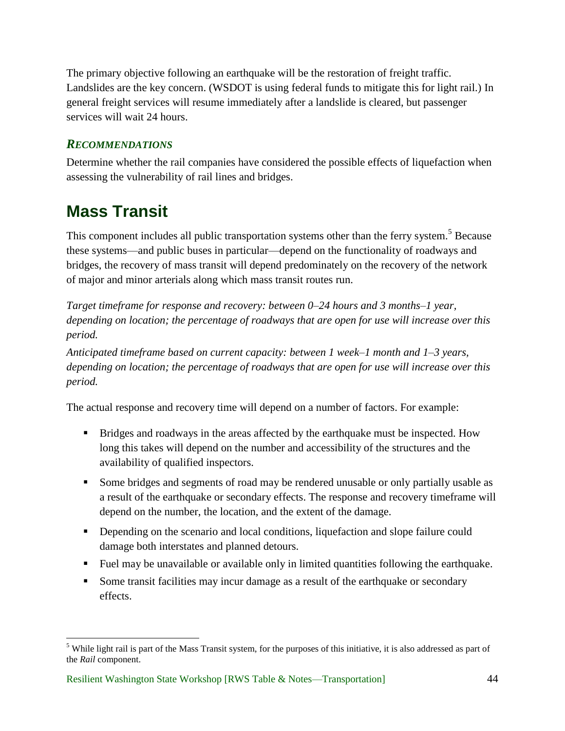The primary objective following an earthquake will be the restoration of freight traffic. Landslides are the key concern. (WSDOT is using federal funds to mitigate this for light rail.) In general freight services will resume immediately after a landslide is cleared, but passenger services will wait 24 hours.

## <span id="page-48-0"></span>*RECOMMENDATIONS*

Determine whether the rail companies have considered the possible effects of liquefaction when assessing the vulnerability of rail lines and bridges.

# <span id="page-48-1"></span>**Mass Transit**

 $\overline{a}$ 

This component includes all public transportation systems other than the ferry system.<sup>5</sup> Because these systems—and public buses in particular—depend on the functionality of roadways and bridges, the recovery of mass transit will depend predominately on the recovery of the network of major and minor arterials along which mass transit routes run.

*Target timeframe for response and recovery: between 0–24 hours and 3 months–1 year, depending on location; the percentage of roadways that are open for use will increase over this period.*

*Anticipated timeframe based on current capacity: between 1 week–1 month and 1–3 years, depending on location; the percentage of roadways that are open for use will increase over this period.*

The actual response and recovery time will depend on a number of factors. For example:

- Bridges and roadways in the areas affected by the earthquake must be inspected. How long this takes will depend on the number and accessibility of the structures and the availability of qualified inspectors.
- Some bridges and segments of road may be rendered unusable or only partially usable as a result of the earthquake or secondary effects. The response and recovery timeframe will depend on the number, the location, and the extent of the damage.
- Depending on the scenario and local conditions, liquefaction and slope failure could damage both interstates and planned detours.
- Fuel may be unavailable or available only in limited quantities following the earthquake.
- Some transit facilities may incur damage as a result of the earthquake or secondary effects.

<sup>&</sup>lt;sup>5</sup> While light rail is part of the Mass Transit system, for the purposes of this initiative, it is also addressed as part of the *Rail* component.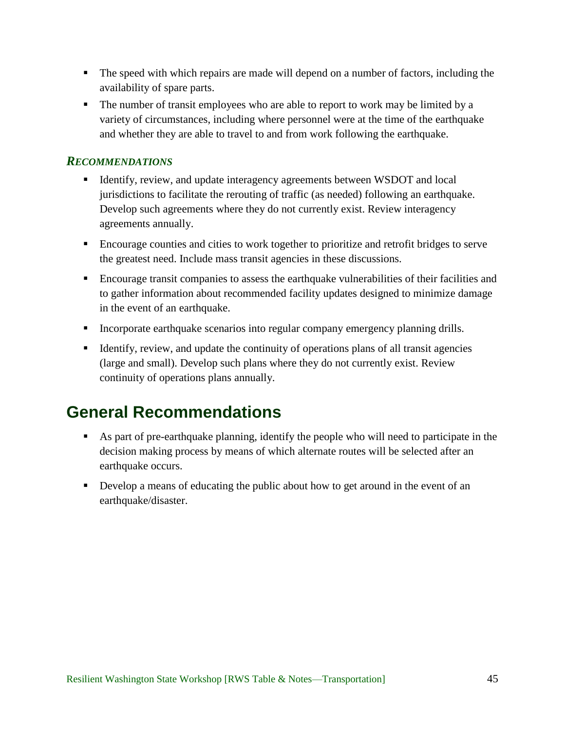- The speed with which repairs are made will depend on a number of factors, including the availability of spare parts.
- The number of transit employees who are able to report to work may be limited by a variety of circumstances, including where personnel were at the time of the earthquake and whether they are able to travel to and from work following the earthquake.

- <span id="page-49-0"></span> Identify, review, and update interagency agreements between WSDOT and local jurisdictions to facilitate the rerouting of traffic (as needed) following an earthquake. Develop such agreements where they do not currently exist. Review interagency agreements annually.
- Encourage counties and cities to work together to prioritize and retrofit bridges to serve the greatest need. Include mass transit agencies in these discussions.
- Encourage transit companies to assess the earthquake vulnerabilities of their facilities and to gather information about recommended facility updates designed to minimize damage in the event of an earthquake.
- Incorporate earthquake scenarios into regular company emergency planning drills.
- Identify, review, and update the continuity of operations plans of all transit agencies (large and small). Develop such plans where they do not currently exist. Review continuity of operations plans annually.

# <span id="page-49-1"></span>**General Recommendations**

- As part of pre-earthquake planning, identify the people who will need to participate in the decision making process by means of which alternate routes will be selected after an earthquake occurs.
- Develop a means of educating the public about how to get around in the event of an earthquake/disaster.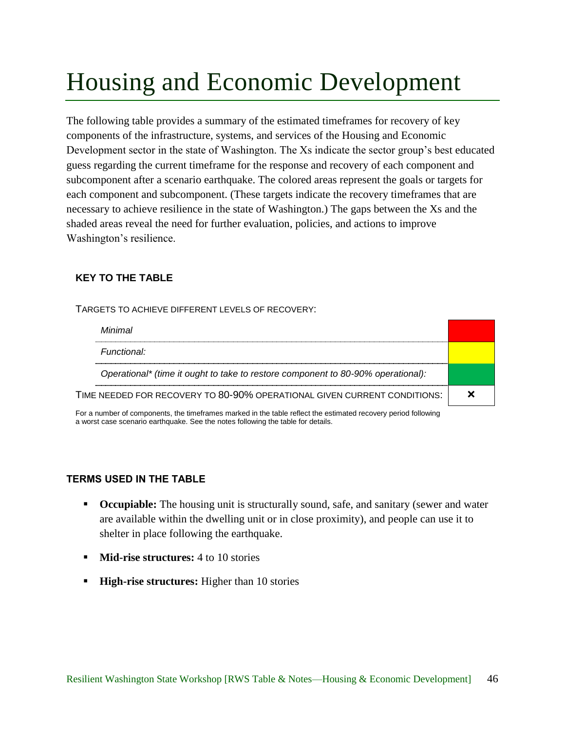# <span id="page-50-0"></span>Housing and Economic Development

The following table provides a summary of the estimated timeframes for recovery of key components of the infrastructure, systems, and services of the Housing and Economic Development sector in the state of Washington. The Xs indicate the sector group's best educated guess regarding the current timeframe for the response and recovery of each component and subcomponent after a scenario earthquake. The colored areas represent the goals or targets for each component and subcomponent. (These targets indicate the recovery timeframes that are necessary to achieve resilience in the state of Washington.) The gaps between the Xs and the shaded areas reveal the need for further evaluation, policies, and actions to improve Washington's resilience.

### **KEY TO THE TABLE**

TARGETS TO ACHIEVE DIFFERENT LEVELS OF RECOVERY:

| Minimal                                                                          |  |
|----------------------------------------------------------------------------------|--|
| Functional:                                                                      |  |
| Operational* (time it ought to take to restore component to 80-90% operational): |  |
| TIME NEEDED FOR RECOVERY TO 80-90% OPERATIONAL GIVEN CURRENT CONDITIONS:         |  |

For a number of components, the timeframes marked in the table reflect the estimated recovery period following a worst case scenario earthquake. See the notes following the table for details.

#### **TERMS USED IN THE TABLE**

- **Civillent** Occupiable: The housing unit is structurally sound, safe, and sanitary (sewer and water are available within the dwelling unit or in close proximity), and people can use it to shelter in place following the earthquake.
- **Mid-rise structures:** 4 to 10 stories
- **High-rise structures:** Higher than 10 stories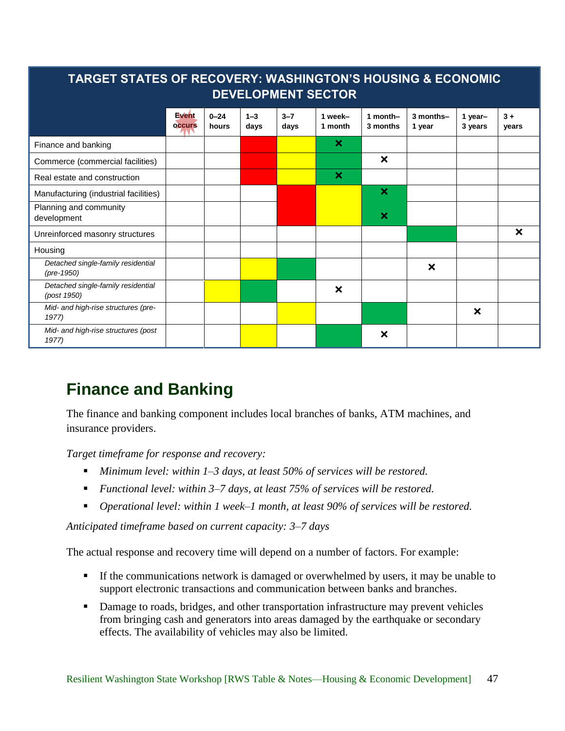| TARGET STATES OF RECOVERY: WASHINGTON'S HOUSING & ECONOMIC<br><b>DEVELOPMENT SECTOR</b> |                        |                   |                 |                 |                           |                           |                           |                           |               |
|-----------------------------------------------------------------------------------------|------------------------|-------------------|-----------------|-----------------|---------------------------|---------------------------|---------------------------|---------------------------|---------------|
|                                                                                         | Event<br><b>occurs</b> | $0 - 24$<br>hours | $1 - 3$<br>days | $3 - 7$<br>days | 1 week-<br>1 month        | 1 month-<br>3 months      | 3 months-<br>1 year       | 1 year-<br>3 years        | $3+$<br>years |
| Finance and banking                                                                     |                        |                   |                 |                 | $\boldsymbol{\mathsf{x}}$ |                           |                           |                           |               |
| Commerce (commercial facilities)                                                        |                        |                   |                 |                 |                           | ×                         |                           |                           |               |
| Real estate and construction                                                            |                        |                   |                 |                 | ×                         |                           |                           |                           |               |
| Manufacturing (industrial facilities)                                                   |                        |                   |                 |                 |                           | $\boldsymbol{\mathsf{x}}$ |                           |                           |               |
| Planning and community<br>development                                                   |                        |                   |                 |                 |                           | ×                         |                           |                           |               |
| Unreinforced masonry structures                                                         |                        |                   |                 |                 |                           |                           |                           |                           | ×             |
| Housing                                                                                 |                        |                   |                 |                 |                           |                           |                           |                           |               |
| Detached single-family residential<br>$(\text{pre-1950})$                               |                        |                   |                 |                 |                           |                           | $\boldsymbol{\mathsf{x}}$ |                           |               |
| Detached single-family residential<br>(post 1950)                                       |                        |                   |                 |                 | $\boldsymbol{\mathsf{x}}$ |                           |                           |                           |               |
| Mid- and high-rise structures (pre-<br>1977)                                            |                        |                   |                 |                 |                           |                           |                           | $\boldsymbol{\mathsf{x}}$ |               |
| Mid- and high-rise structures (post<br>1977)                                            |                        |                   |                 |                 |                           | $\boldsymbol{\mathsf{x}}$ |                           |                           |               |

# <span id="page-51-0"></span>**Finance and Banking**

The finance and banking component includes local branches of banks, ATM machines, and insurance providers.

*Target timeframe for response and recovery:*

- *Minimum level: within 1–3 days, at least 50% of services will be restored.*
- *Functional level: within 3–7 days, at least 75% of services will be restored.*
- *Operational level: within 1 week–1 month, at least 90% of services will be restored.*

*Anticipated timeframe based on current capacity: 3–7 days*

The actual response and recovery time will depend on a number of factors. For example:

- If the communications network is damaged or overwhelmed by users, it may be unable to support electronic transactions and communication between banks and branches.
- **Damage to roads, bridges, and other transportation infrastructure may prevent vehicles** from bringing cash and generators into areas damaged by the earthquake or secondary effects. The availability of vehicles may also be limited.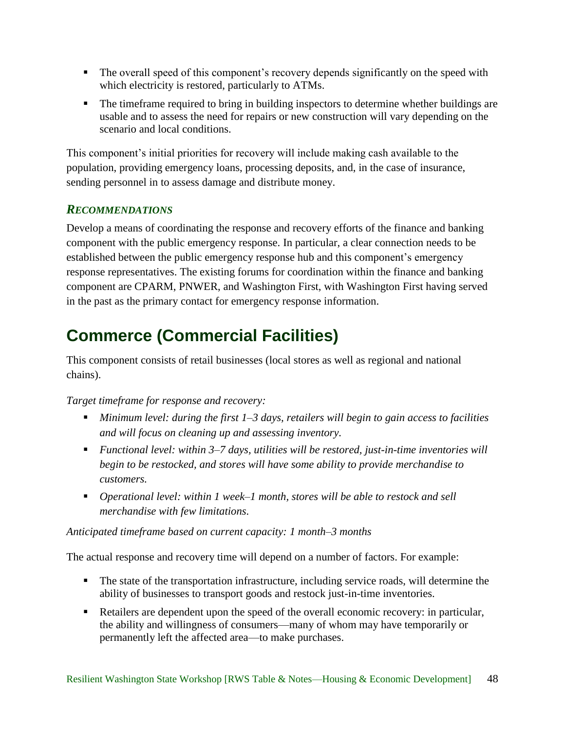- The overall speed of this component's recovery depends significantly on the speed with which electricity is restored, particularly to ATMs.
- The timeframe required to bring in building inspectors to determine whether buildings are usable and to assess the need for repairs or new construction will vary depending on the scenario and local conditions.

This component's initial priorities for recovery will include making cash available to the population, providing emergency loans, processing deposits, and, in the case of insurance, sending personnel in to assess damage and distribute money.

# <span id="page-52-0"></span>*RECOMMENDATIONS*

Develop a means of coordinating the response and recovery efforts of the finance and banking component with the public emergency response. In particular, a clear connection needs to be established between the public emergency response hub and this component's emergency response representatives. The existing forums for coordination within the finance and banking component are CPARM, PNWER, and Washington First, with Washington First having served in the past as the primary contact for emergency response information.

# <span id="page-52-1"></span>**Commerce (Commercial Facilities)**

This component consists of retail businesses (local stores as well as regional and national chains).

### *Target timeframe for response and recovery:*

- *Minimum level: during the first 1–3 days, retailers will begin to gain access to facilities and will focus on cleaning up and assessing inventory.*
- *Functional level: within 3–7 days, utilities will be restored, just-in-time inventories will begin to be restocked, and stores will have some ability to provide merchandise to customers.*
- *Operational level: within 1 week–1 month, stores will be able to restock and sell merchandise with few limitations.*

### *Anticipated timeframe based on current capacity: 1 month–3 months*

The actual response and recovery time will depend on a number of factors. For example:

- The state of the transportation infrastructure, including service roads, will determine the ability of businesses to transport goods and restock just-in-time inventories.
- Retailers are dependent upon the speed of the overall economic recovery: in particular, the ability and willingness of consumers—many of whom may have temporarily or permanently left the affected area—to make purchases.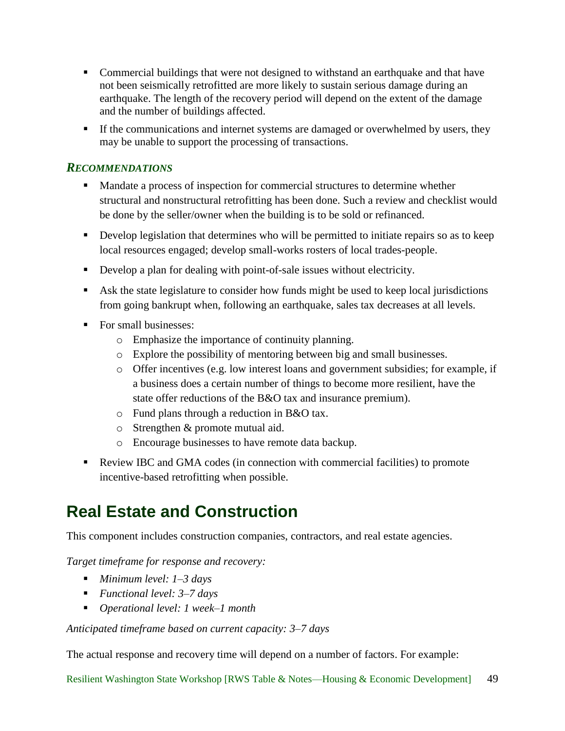- Commercial buildings that were not designed to withstand an earthquake and that have not been seismically retrofitted are more likely to sustain serious damage during an earthquake. The length of the recovery period will depend on the extent of the damage and the number of buildings affected.
- If the communications and internet systems are damaged or overwhelmed by users, they may be unable to support the processing of transactions.

- <span id="page-53-0"></span>**Mandate a process of inspection for commercial structures to determine whether** structural and nonstructural retrofitting has been done. Such a review and checklist would be done by the seller/owner when the building is to be sold or refinanced.
- Develop legislation that determines who will be permitted to initiate repairs so as to keep local resources engaged; develop small-works rosters of local trades-people.
- Develop a plan for dealing with point-of-sale issues without electricity.
- Ask the state legislature to consider how funds might be used to keep local jurisdictions from going bankrupt when, following an earthquake, sales tax decreases at all levels.
- For small businesses:
	- o Emphasize the importance of continuity planning.
	- o Explore the possibility of mentoring between big and small businesses.
	- o Offer incentives (e.g. low interest loans and government subsidies; for example, if a business does a certain number of things to become more resilient, have the state offer reductions of the B&O tax and insurance premium).
	- o Fund plans through a reduction in B&O tax.
	- o Strengthen & promote mutual aid.
	- o Encourage businesses to have remote data backup.
- Review IBC and GMA codes (in connection with commercial facilities) to promote incentive-based retrofitting when possible.

# <span id="page-53-1"></span>**Real Estate and Construction**

This component includes construction companies, contractors, and real estate agencies.

*Target timeframe for response and recovery:*

- *Minimum level: 1–3 days*
- *Functional level: 3–7 days*
- *Operational level: 1 week–1 month*

*Anticipated timeframe based on current capacity: 3–7 days*

The actual response and recovery time will depend on a number of factors. For example:

Resilient Washington State Workshop [RWS Table & Notes—Housing & Economic Development] 49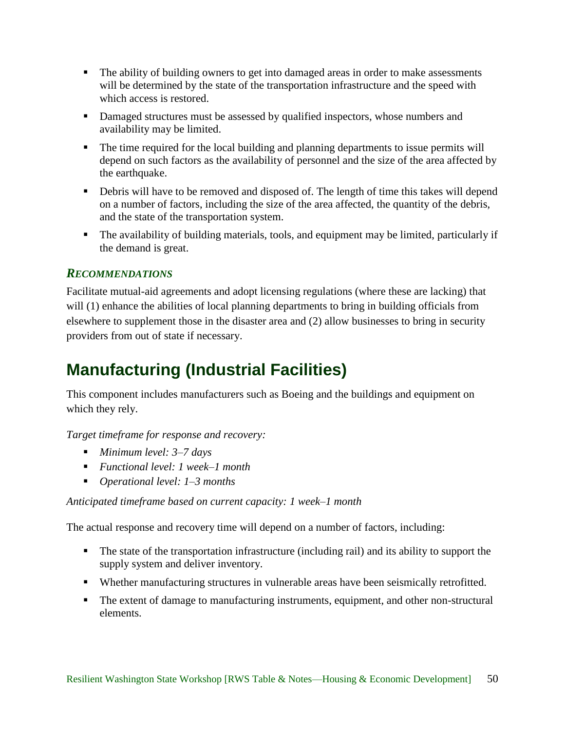- The ability of building owners to get into damaged areas in order to make assessments will be determined by the state of the transportation infrastructure and the speed with which access is restored.
- **Damaged structures must be assessed by qualified inspectors, whose numbers and** availability may be limited.
- The time required for the local building and planning departments to issue permits will depend on such factors as the availability of personnel and the size of the area affected by the earthquake.
- Debris will have to be removed and disposed of. The length of time this takes will depend on a number of factors, including the size of the area affected, the quantity of the debris, and the state of the transportation system.
- The availability of building materials, tools, and equipment may be limited, particularly if the demand is great.

<span id="page-54-0"></span>Facilitate mutual-aid agreements and adopt licensing regulations (where these are lacking) that will (1) enhance the abilities of local planning departments to bring in building officials from elsewhere to supplement those in the disaster area and (2) allow businesses to bring in security providers from out of state if necessary.

# <span id="page-54-1"></span>**Manufacturing (Industrial Facilities)**

This component includes manufacturers such as Boeing and the buildings and equipment on which they rely.

*Target timeframe for response and recovery:*

- *Minimum level: 3–7 days*
- *Functional level: 1 week–1 month*
- *Operational level: 1–3 months*

### *Anticipated timeframe based on current capacity: 1 week–1 month*

The actual response and recovery time will depend on a number of factors, including:

- The state of the transportation infrastructure (including rail) and its ability to support the supply system and deliver inventory.
- Whether manufacturing structures in vulnerable areas have been seismically retrofitted.
- The extent of damage to manufacturing instruments, equipment, and other non-structural elements.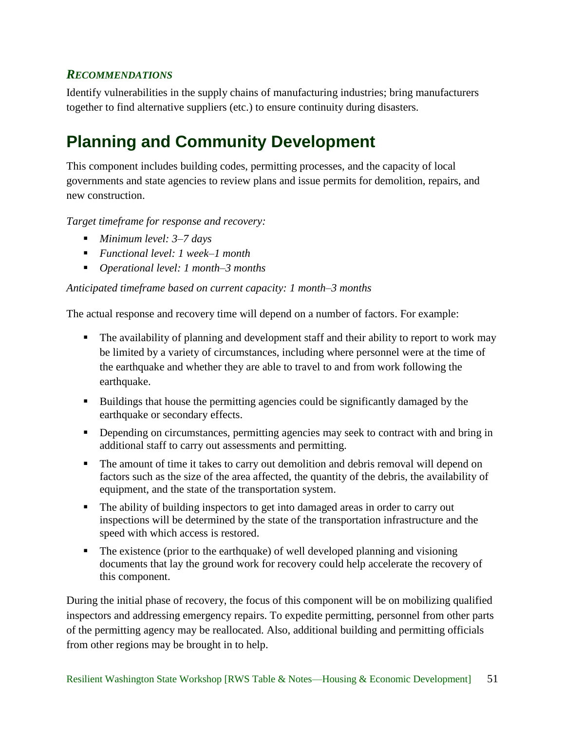<span id="page-55-0"></span>Identify vulnerabilities in the supply chains of manufacturing industries; bring manufacturers together to find alternative suppliers (etc.) to ensure continuity during disasters.

# <span id="page-55-1"></span>**Planning and Community Development**

This component includes building codes, permitting processes, and the capacity of local governments and state agencies to review plans and issue permits for demolition, repairs, and new construction.

*Target timeframe for response and recovery:*

- *Minimum level: 3–7 days*
- *Functional level: 1 week–1 month*
- *Operational level: 1 month–3 months*

### *Anticipated timeframe based on current capacity: 1 month–3 months*

The actual response and recovery time will depend on a number of factors. For example:

- The availability of planning and development staff and their ability to report to work may be limited by a variety of circumstances, including where personnel were at the time of the earthquake and whether they are able to travel to and from work following the earthquake.
- Buildings that house the permitting agencies could be significantly damaged by the earthquake or secondary effects.
- Depending on circumstances, permitting agencies may seek to contract with and bring in additional staff to carry out assessments and permitting.
- The amount of time it takes to carry out demolition and debris removal will depend on factors such as the size of the area affected, the quantity of the debris, the availability of equipment, and the state of the transportation system.
- The ability of building inspectors to get into damaged areas in order to carry out inspections will be determined by the state of the transportation infrastructure and the speed with which access is restored.
- The existence (prior to the earthquake) of well developed planning and visioning documents that lay the ground work for recovery could help accelerate the recovery of this component.

During the initial phase of recovery, the focus of this component will be on mobilizing qualified inspectors and addressing emergency repairs. To expedite permitting, personnel from other parts of the permitting agency may be reallocated. Also, additional building and permitting officials from other regions may be brought in to help.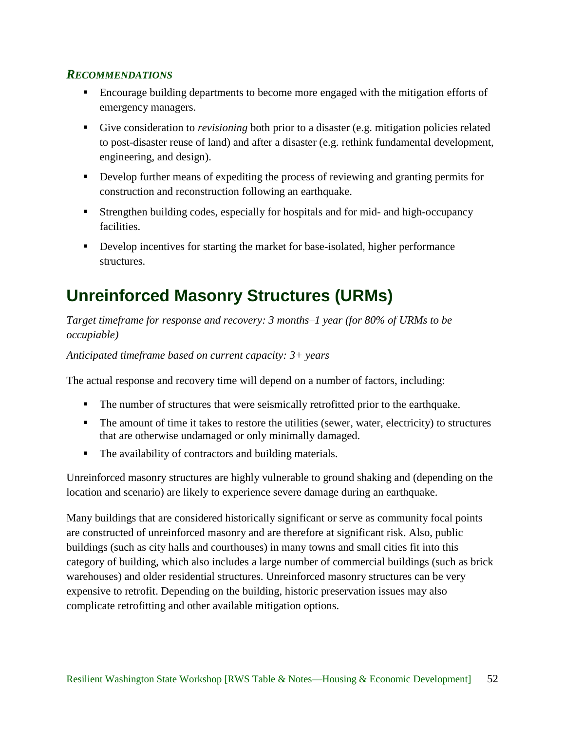- <span id="page-56-0"></span> Encourage building departments to become more engaged with the mitigation efforts of emergency managers.
- Give consideration to *revisioning* both prior to a disaster (e.g. mitigation policies related to post-disaster reuse of land) and after a disaster (e.g. rethink fundamental development, engineering, and design).
- Develop further means of expediting the process of reviewing and granting permits for construction and reconstruction following an earthquake.
- Strengthen building codes, especially for hospitals and for mid- and high-occupancy facilities.
- Develop incentives for starting the market for base-isolated, higher performance structures.

# <span id="page-56-1"></span>**Unreinforced Masonry Structures (URMs)**

*Target timeframe for response and recovery: 3 months–1 year (for 80% of URMs to be occupiable)*

*Anticipated timeframe based on current capacity: 3+ years*

The actual response and recovery time will depend on a number of factors, including:

- The number of structures that were seismically retrofitted prior to the earthquake.
- The amount of time it takes to restore the utilities (sewer, water, electricity) to structures that are otherwise undamaged or only minimally damaged.
- The availability of contractors and building materials.

Unreinforced masonry structures are highly vulnerable to ground shaking and (depending on the location and scenario) are likely to experience severe damage during an earthquake.

Many buildings that are considered historically significant or serve as community focal points are constructed of unreinforced masonry and are therefore at significant risk. Also, public buildings (such as city halls and courthouses) in many towns and small cities fit into this category of building, which also includes a large number of commercial buildings (such as brick warehouses) and older residential structures. Unreinforced masonry structures can be very expensive to retrofit. Depending on the building, historic preservation issues may also complicate retrofitting and other available mitigation options.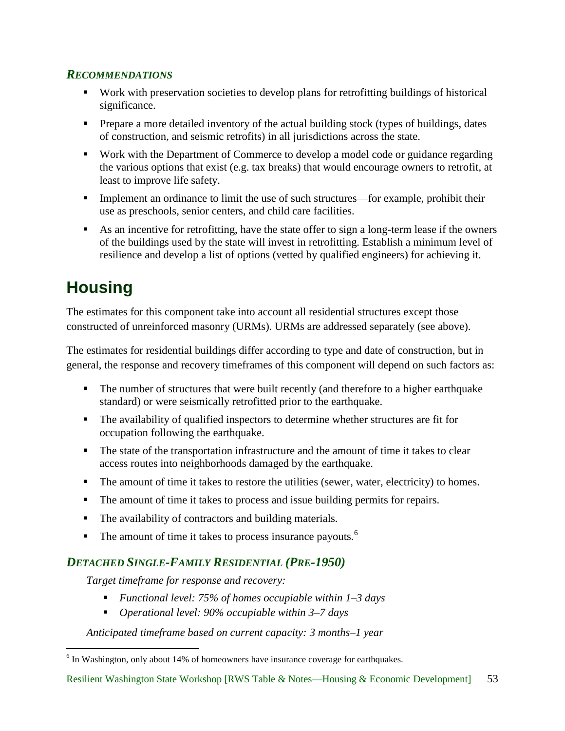- <span id="page-57-0"></span> Work with preservation societies to develop plans for retrofitting buildings of historical significance.
- **Prepare a more detailed inventory of the actual building stock (types of buildings, dates** of construction, and seismic retrofits) in all jurisdictions across the state.
- Work with the Department of Commerce to develop a model code or guidance regarding the various options that exist (e.g. tax breaks) that would encourage owners to retrofit, at least to improve life safety.
- Implement an ordinance to limit the use of such structures—for example, prohibit their use as preschools, senior centers, and child care facilities.
- As an incentive for retrofitting, have the state offer to sign a long-term lease if the owners of the buildings used by the state will invest in retrofitting. Establish a minimum level of resilience and develop a list of options (vetted by qualified engineers) for achieving it.

# <span id="page-57-1"></span>**Housing**

The estimates for this component take into account all residential structures except those constructed of unreinforced masonry (URMs). URMs are addressed separately (see above).

The estimates for residential buildings differ according to type and date of construction, but in general, the response and recovery timeframes of this component will depend on such factors as:

- The number of structures that were built recently (and therefore to a higher earthquake standard) or were seismically retrofitted prior to the earthquake.
- The availability of qualified inspectors to determine whether structures are fit for occupation following the earthquake.
- The state of the transportation infrastructure and the amount of time it takes to clear access routes into neighborhoods damaged by the earthquake.
- The amount of time it takes to restore the utilities (sewer, water, electricity) to homes.
- The amount of time it takes to process and issue building permits for repairs.
- The availability of contractors and building materials.
- $\blacksquare$  The amount of time it takes to process insurance payouts.<sup>6</sup>

# <span id="page-57-2"></span>*DETACHED SINGLE-FAMILY RESIDENTIAL (PRE-1950)*

*Target timeframe for response and recovery:*

- *Functional level: 75% of homes occupiable within 1–3 days*
- *Operational level: 90% occupiable within 3–7 days*

*Anticipated timeframe based on current capacity: 3 months–1 year*

<sup>&</sup>lt;sup>6</sup> In Washington, only about 14% of homeowners have insurance coverage for earthquakes.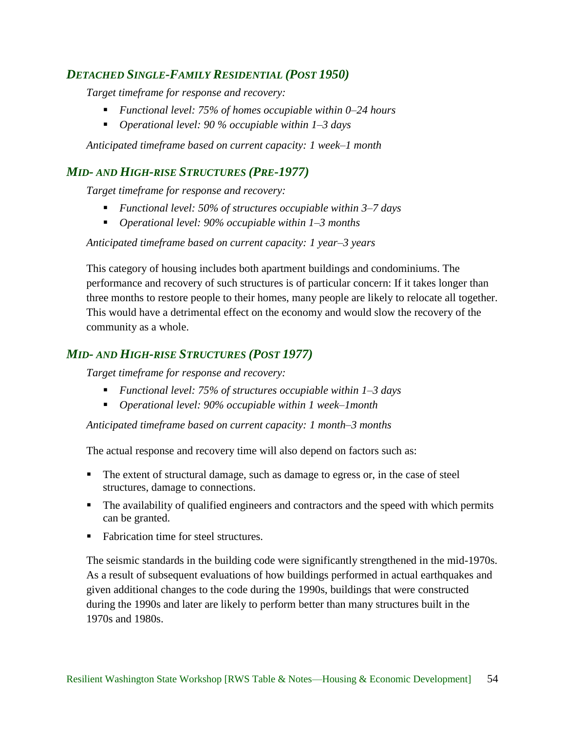### <span id="page-58-0"></span>*DETACHED SINGLE-FAMILY RESIDENTIAL (POST 1950)*

*Target timeframe for response and recovery:*

- *Functional level: 75% of homes occupiable within 0–24 hours*
- *Operational level: 90 % occupiable within 1–3 days*

*Anticipated timeframe based on current capacity: 1 week–1 month*

### <span id="page-58-1"></span>*MID- AND HIGH-RISE STRUCTURES (PRE-1977)*

*Target timeframe for response and recovery:*

- *Functional level: 50% of structures occupiable within 3–7 days*
- *Operational level: 90% occupiable within 1–3 months*

*Anticipated timeframe based on current capacity: 1 year–3 years*

This category of housing includes both apartment buildings and condominiums. The performance and recovery of such structures is of particular concern: If it takes longer than three months to restore people to their homes, many people are likely to relocate all together. This would have a detrimental effect on the economy and would slow the recovery of the community as a whole.

### <span id="page-58-2"></span>*MID- AND HIGH-RISE STRUCTURES (POST 1977)*

*Target timeframe for response and recovery:*

- *Functional level: 75% of structures occupiable within 1–3 days*
- *Operational level: 90% occupiable within 1 week–1month*

*Anticipated timeframe based on current capacity: 1 month–3 months*

The actual response and recovery time will also depend on factors such as:

- The extent of structural damage, such as damage to egress or, in the case of steel structures, damage to connections.
- The availability of qualified engineers and contractors and the speed with which permits can be granted.
- Fabrication time for steel structures.

The seismic standards in the building code were significantly strengthened in the mid-1970s. As a result of subsequent evaluations of how buildings performed in actual earthquakes and given additional changes to the code during the 1990s, buildings that were constructed during the 1990s and later are likely to perform better than many structures built in the 1970s and 1980s.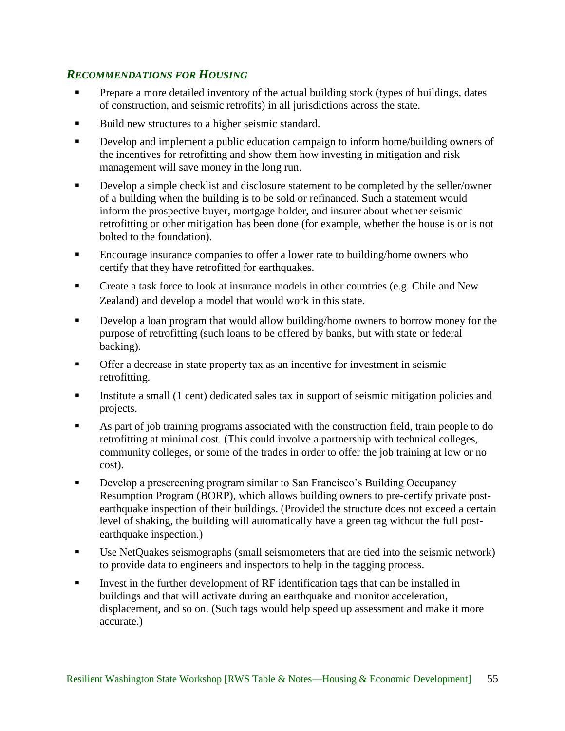### <span id="page-59-0"></span>*RECOMMENDATIONS FOR HOUSING*

- Prepare a more detailed inventory of the actual building stock (types of buildings, dates of construction, and seismic retrofits) in all jurisdictions across the state.
- Build new structures to a higher seismic standard.
- Develop and implement a public education campaign to inform home/building owners of the incentives for retrofitting and show them how investing in mitigation and risk management will save money in the long run.
- **Develop a simple checklist and disclosure statement to be completed by the seller/owner** of a building when the building is to be sold or refinanced. Such a statement would inform the prospective buyer, mortgage holder, and insurer about whether seismic retrofitting or other mitigation has been done (for example, whether the house is or is not bolted to the foundation).
- Encourage insurance companies to offer a lower rate to building/home owners who certify that they have retrofitted for earthquakes.
- Create a task force to look at insurance models in other countries (e.g. Chile and New Zealand) and develop a model that would work in this state.
- **Develop a loan program that would allow building/home owners to borrow money for the** purpose of retrofitting (such loans to be offered by banks, but with state or federal backing).
- Offer a decrease in state property tax as an incentive for investment in seismic retrofitting.
- Institute a small (1 cent) dedicated sales tax in support of seismic mitigation policies and projects.
- As part of job training programs associated with the construction field, train people to do retrofitting at minimal cost. (This could involve a partnership with technical colleges, community colleges, or some of the trades in order to offer the job training at low or no cost).
- Develop a prescreening program similar to San Francisco's Building Occupancy Resumption Program (BORP), which allows building owners to pre-certify private postearthquake inspection of their buildings. (Provided the structure does not exceed a certain level of shaking, the building will automatically have a green tag without the full postearthquake inspection.)
- Use NetQuakes seismographs (small seismometers that are tied into the seismic network) to provide data to engineers and inspectors to help in the tagging process.
- Invest in the further development of RF identification tags that can be installed in buildings and that will activate during an earthquake and monitor acceleration, displacement, and so on. (Such tags would help speed up assessment and make it more accurate.)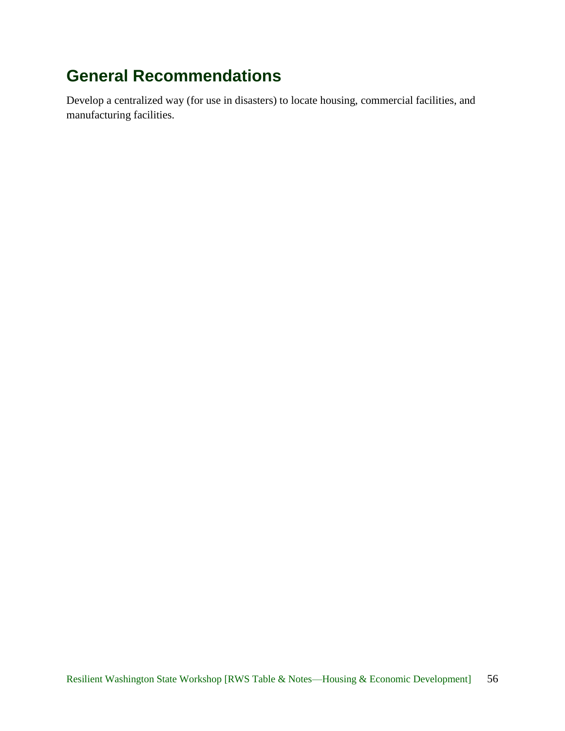# <span id="page-60-0"></span>**General Recommendations**

Develop a centralized way (for use in disasters) to locate housing, commercial facilities, and manufacturing facilities.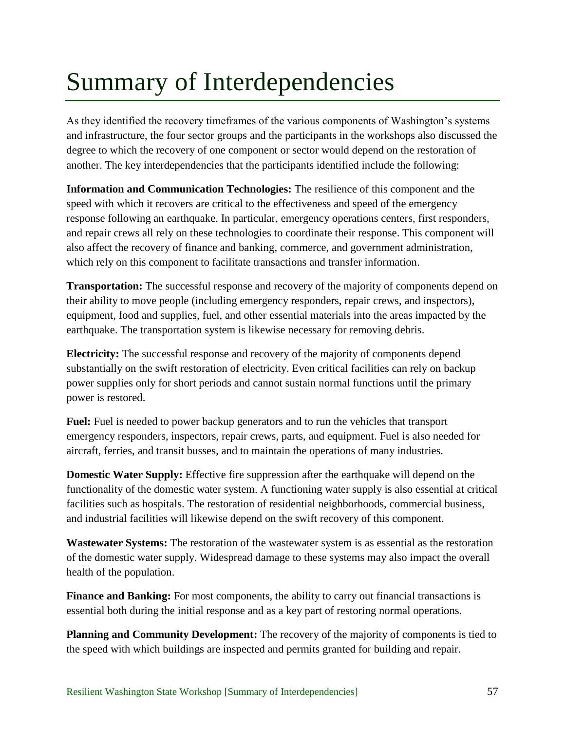# <span id="page-61-0"></span>Summary of Interdependencies

As they identified the recovery timeframes of the various components of Washington's systems and infrastructure, the four sector groups and the participants in the workshops also discussed the degree to which the recovery of one component or sector would depend on the restoration of another. The key interdependencies that the participants identified include the following:

**Information and Communication Technologies:** The resilience of this component and the speed with which it recovers are critical to the effectiveness and speed of the emergency response following an earthquake. In particular, emergency operations centers, first responders, and repair crews all rely on these technologies to coordinate their response. This component will also affect the recovery of finance and banking, commerce, and government administration, which rely on this component to facilitate transactions and transfer information.

**Transportation:** The successful response and recovery of the majority of components depend on their ability to move people (including emergency responders, repair crews, and inspectors), equipment, food and supplies, fuel, and other essential materials into the areas impacted by the earthquake. The transportation system is likewise necessary for removing debris.

**Electricity:** The successful response and recovery of the majority of components depend substantially on the swift restoration of electricity. Even critical facilities can rely on backup power supplies only for short periods and cannot sustain normal functions until the primary power is restored.

Fuel: Fuel is needed to power backup generators and to run the vehicles that transport emergency responders, inspectors, repair crews, parts, and equipment. Fuel is also needed for aircraft, ferries, and transit busses, and to maintain the operations of many industries.

**Domestic Water Supply:** Effective fire suppression after the earthquake will depend on the functionality of the domestic water system. A functioning water supply is also essential at critical facilities such as hospitals. The restoration of residential neighborhoods, commercial business, and industrial facilities will likewise depend on the swift recovery of this component.

**Wastewater Systems:** The restoration of the wastewater system is as essential as the restoration of the domestic water supply. Widespread damage to these systems may also impact the overall health of the population.

**Finance and Banking:** For most components, the ability to carry out financial transactions is essential both during the initial response and as a key part of restoring normal operations.

**Planning and Community Development:** The recovery of the majority of components is tied to the speed with which buildings are inspected and permits granted for building and repair.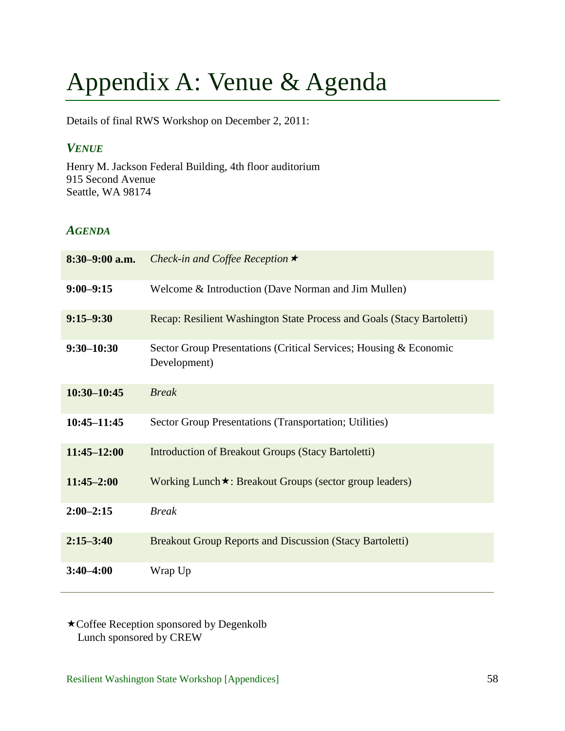# <span id="page-62-0"></span>Appendix A: Venue & Agenda

Details of final RWS Workshop on December 2, 2011:

### <span id="page-62-1"></span>*VENUE*

Henry M. Jackson Federal Building, 4th floor auditorium 915 Second Avenue Seattle, WA 98174

### <span id="page-62-2"></span>*AGENDA*

| $8:30-9:00$ a.m. | Check-in and Coffee Reception $\star$                                             |
|------------------|-----------------------------------------------------------------------------------|
| $9:00 - 9:15$    | Welcome & Introduction (Dave Norman and Jim Mullen)                               |
| $9:15 - 9:30$    | Recap: Resilient Washington State Process and Goals (Stacy Bartoletti)            |
| $9:30 - 10:30$   | Sector Group Presentations (Critical Services; Housing & Economic<br>Development) |
| $10:30 - 10:45$  | <b>Break</b>                                                                      |
| $10:45 - 11:45$  | Sector Group Presentations (Transportation; Utilities)                            |
| $11:45 - 12:00$  | <b>Introduction of Breakout Groups (Stacy Bartoletti)</b>                         |
| $11:45 - 2:00$   | Working Lunch★: Breakout Groups (sector group leaders)                            |
| $2:00 - 2:15$    | <b>Break</b>                                                                      |
| $2:15 - 3:40$    | <b>Breakout Group Reports and Discussion (Stacy Bartoletti)</b>                   |
| $3:40 - 4:00$    | Wrap Up                                                                           |

Coffee Reception sponsored by Degenkolb Lunch sponsored by CREW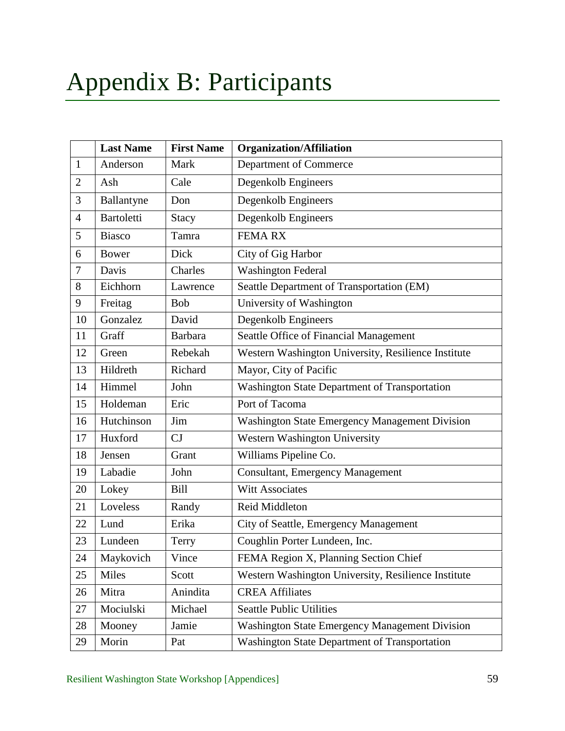<span id="page-63-0"></span>

|                | <b>Last Name</b>  | <b>First Name</b> | <b>Organization/Affiliation</b>                       |  |
|----------------|-------------------|-------------------|-------------------------------------------------------|--|
| $\mathbf{1}$   | Anderson          | Mark              | Department of Commerce                                |  |
| $\overline{2}$ | Ash               | Cale              | Degenkolb Engineers                                   |  |
| 3              | Ballantyne        | Don               | Degenkolb Engineers                                   |  |
| $\overline{4}$ | <b>Bartoletti</b> | <b>Stacy</b>      | Degenkolb Engineers                                   |  |
| 5              | <b>Biasco</b>     | Tamra             | <b>FEMARX</b>                                         |  |
| 6              | <b>Bower</b>      | Dick              | City of Gig Harbor                                    |  |
| 7              | Davis             | Charles           | <b>Washington Federal</b>                             |  |
| 8              | Eichhorn          | Lawrence          | Seattle Department of Transportation (EM)             |  |
| 9              | Freitag           | <b>Bob</b>        | University of Washington                              |  |
| 10             | Gonzalez          | David             | Degenkolb Engineers                                   |  |
| 11             | Graff             | <b>Barbara</b>    | Seattle Office of Financial Management                |  |
| 12             | Green             | Rebekah           | Western Washington University, Resilience Institute   |  |
| 13             | Hildreth          | Richard           | Mayor, City of Pacific                                |  |
| 14             | Himmel            | John              | Washington State Department of Transportation         |  |
| 15             | Holdeman          | Eric              | Port of Tacoma                                        |  |
| 16             | Hutchinson        | Jim               | <b>Washington State Emergency Management Division</b> |  |
| 17             | Huxford           | CJ                | Western Washington University                         |  |
| 18             | Jensen            | Grant             | Williams Pipeline Co.                                 |  |
| 19             | Labadie           | John              | <b>Consultant, Emergency Management</b>               |  |
| 20             | Lokey             | <b>Bill</b>       | <b>Witt Associates</b>                                |  |
| 21             | Loveless          | Randy             | Reid Middleton                                        |  |
| 22             | Lund              | Erika             | City of Seattle, Emergency Management                 |  |
| 23             | Lundeen           | Terry             | Coughlin Porter Lundeen, Inc.                         |  |
| 24             | Maykovich         | Vince             | FEMA Region X, Planning Section Chief                 |  |
| 25             | Miles             | Scott             | Western Washington University, Resilience Institute   |  |
| 26             | Mitra             | Anindita          | <b>CREA Affiliates</b>                                |  |
| 27             | Mociulski         | Michael           | <b>Seattle Public Utilities</b>                       |  |
| 28             | Mooney            | Jamie             | <b>Washington State Emergency Management Division</b> |  |
| 29             | Morin             | Pat               | Washington State Department of Transportation         |  |